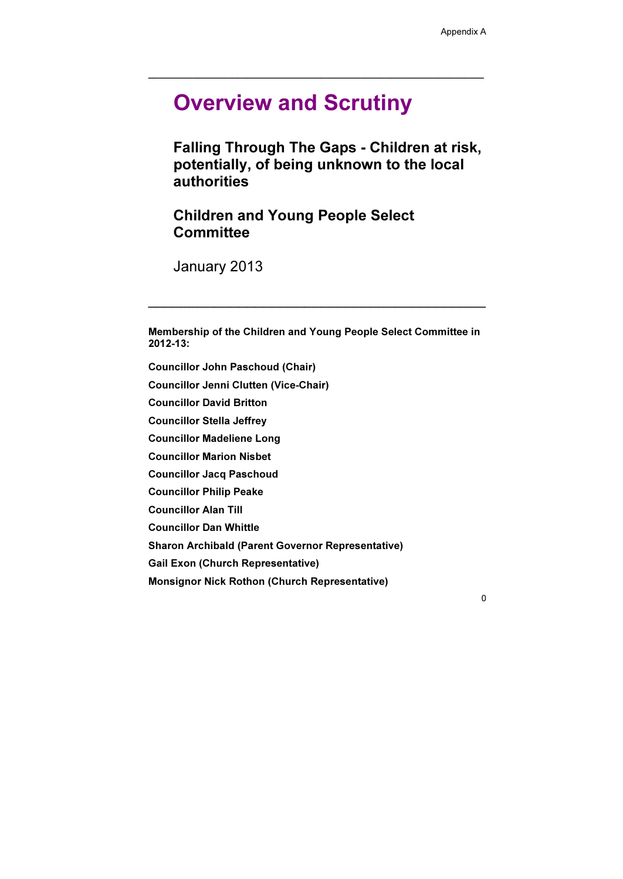\_\_\_\_\_\_\_\_\_\_\_\_\_\_\_\_\_\_\_\_\_\_\_\_\_\_\_\_\_\_\_\_\_\_\_\_\_\_\_\_\_\_\_\_\_\_\_\_\_\_\_\_\_\_\_\_\_\_\_\_\_\_\_\_\_\_\_\_

# Overview and Scrutiny

Children and Young People Select **Committee** 

Falling Through The Gaps - Children at risk, potentially, of being unknown to the local authorities

January 2013

Membership of the Children and Young People Select Committee in 2012-13:

 $\overline{\phantom{a}}$  , and the contract of the contract of the contract of the contract of the contract of the contract of the contract of the contract of the contract of the contract of the contract of the contract of the contrac

Councillor John Paschoud (Chair) Councillor Jenni Clutten (Vice-Chair) Councillor David Britton Councillor Stella Jeffrey Councillor Madeliene Long Councillor Marion Nisbet Councillor Jacq Paschoud Councillor Philip Peake Councillor Alan Till Councillor Dan Whittle Sharon Archibald (Parent Governor Representative) Gail Exon (Church Representative)

Monsignor Nick Rothon (Church Representative)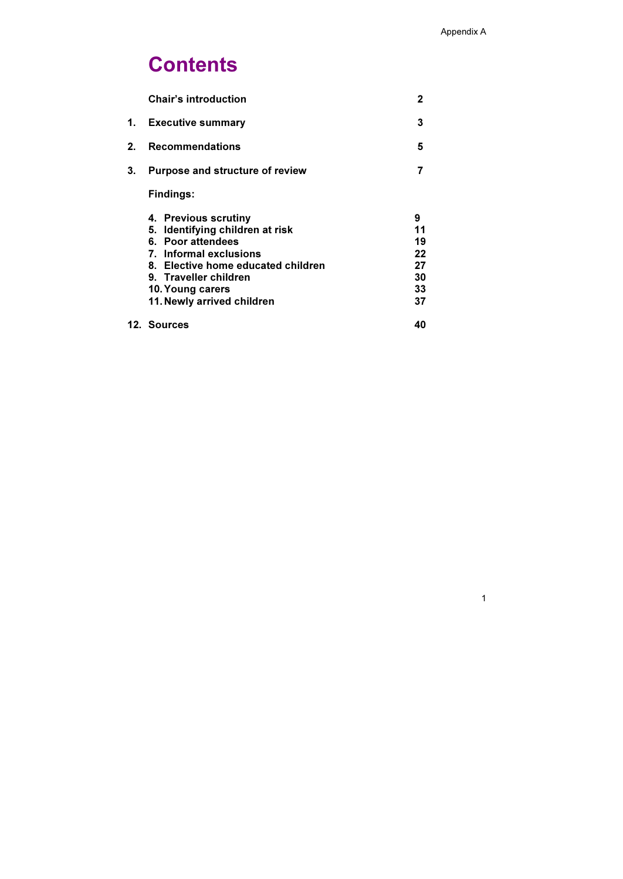# **Contents**

|                | <b>Chair's introduction</b>                                                                                                                                                                                             | 2                                           |
|----------------|-------------------------------------------------------------------------------------------------------------------------------------------------------------------------------------------------------------------------|---------------------------------------------|
| 1.             | <b>Executive summary</b>                                                                                                                                                                                                | 3                                           |
| 2 <sub>1</sub> | <b>Recommendations</b>                                                                                                                                                                                                  | 5                                           |
| 3 <sub>1</sub> | <b>Purpose and structure of review</b>                                                                                                                                                                                  |                                             |
|                | <b>Findings:</b>                                                                                                                                                                                                        |                                             |
|                | 4. Previous scrutiny<br>5. Identifying children at risk<br>6. Poor attendees<br>7. Informal exclusions<br>8. Elective home educated children<br>9. Traveller children<br>10. Young carers<br>11. Newly arrived children | 9<br>11<br>19<br>22<br>27<br>30<br>33<br>37 |
|                | 12. Sources                                                                                                                                                                                                             | 40                                          |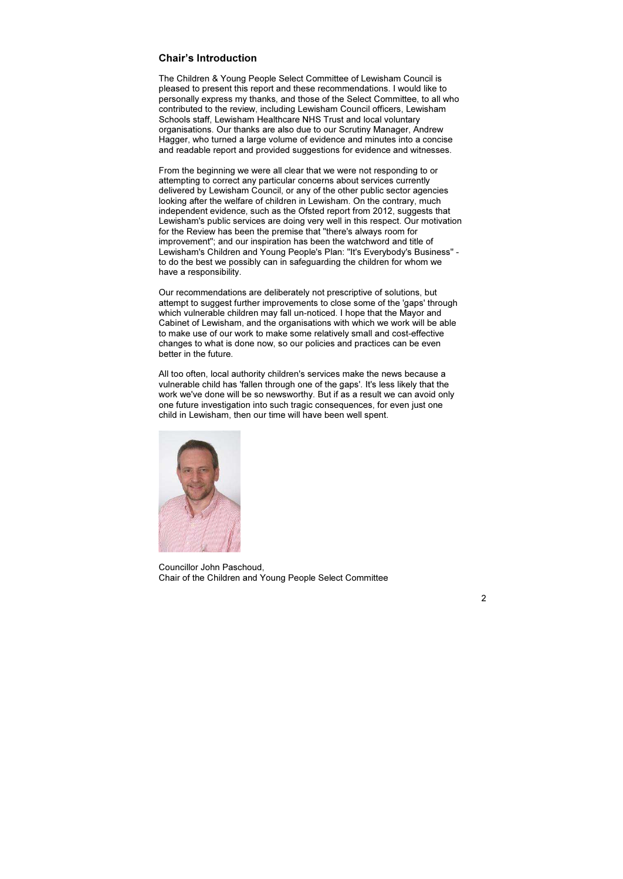## Chair's Introduction

The Children & Young People Select Committee of Lewisham Council is pleased to present this report and these recommendations. I would like to personally express my thanks, and those of the Select Committee, to all who contributed to the review, including Lewisham Council officers, Lewisham Schools staff, Lewisham Healthcare NHS Trust and local voluntary organisations. Our thanks are also due to our Scrutiny Manager, Andrew Hagger, who turned a large volume of evidence and minutes into a concise and readable report and provided suggestions for evidence and witnesses.

From the beginning we were all clear that we were not responding to or attempting to correct any particular concerns about services currently delivered by Lewisham Council, or any of the other public sector agencies looking after the welfare of children in Lewisham. On the contrary, much independent evidence, such as the Ofsted report from 2012, suggests that Lewisham's public services are doing very well in this respect. Our motivation for the Review has been the premise that "there's always room for improvement"; and our inspiration has been the watchword and title of Lewisham's Children and Young People's Plan: "It's Everybody's Business" to do the best we possibly can in safeguarding the children for whom we have a responsibility.

Our recommendations are deliberately not prescriptive of solutions, but attempt to suggest further improvements to close some of the 'gaps' through which vulnerable children may fall un-noticed. I hope that the Mayor and Cabinet of Lewisham, and the organisations with which we work will be able to make use of our work to make some relatively small and cost-effective changes to what is done now, so our policies and practices can be even better in the future.

All too often, local authority children's services make the news because a vulnerable child has 'fallen through one of the gaps'. It's less likely that the work we've done will be so newsworthy. But if as a result we can avoid only one future investigation into such tragic consequences, for even just one child in Lewisham, then our time will have been well spent.



Councillor John Paschoud, Chair of the Children and Young People Select Committee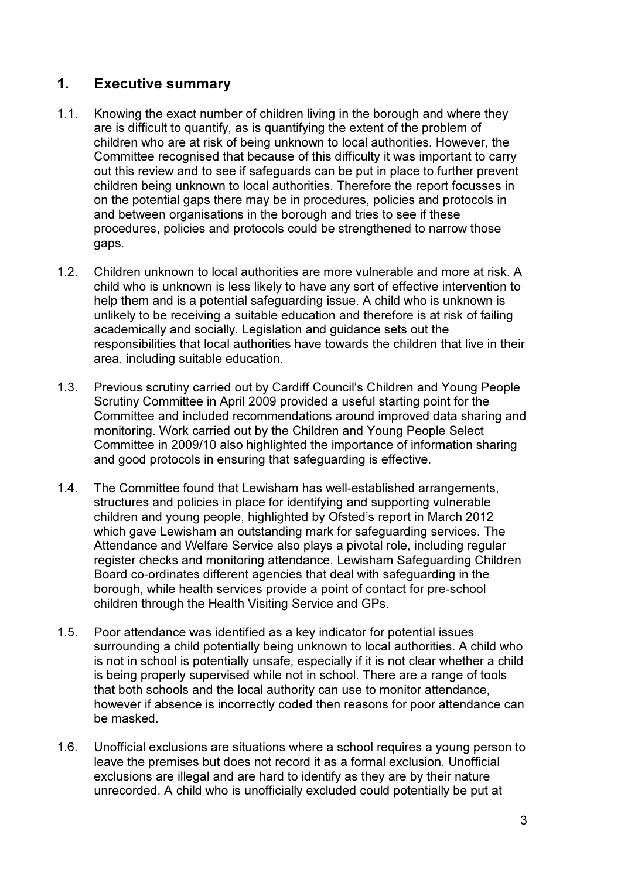## 1. Executive summary

- 1.1. Knowing the exact number of children living in the borough and where they are is difficult to quantify, as is quantifying the extent of the problem of children who are at risk of being unknown to local authorities. However, the Committee recognised that because of this difficulty it was important to carry out this review and to see if safeguards can be put in place to further prevent children being unknown to local authorities. Therefore the report focusses in on the potential gaps there may be in procedures, policies and protocols in and between organisations in the borough and tries to see if these procedures, policies and protocols could be strengthened to narrow those gaps.
- 1.2. Children unknown to local authorities are more vulnerable and more at risk. A child who is unknown is less likely to have any sort of effective intervention to help them and is a potential safeguarding issue. A child who is unknown is unlikely to be receiving a suitable education and therefore is at risk of failing academically and socially. Legislation and guidance sets out the responsibilities that local authorities have towards the children that live in their area, including suitable education.
- 1.3. Previous scrutiny carried out by Cardiff Council's Children and Young People Scrutiny Committee in April 2009 provided a useful starting point for the Committee and included recommendations around improved data sharing and monitoring. Work carried out by the Children and Young People Select Committee in 2009/10 also highlighted the importance of information sharing and good protocols in ensuring that safeguarding is effective.
- 1.4. The Committee found that Lewisham has well-established arrangements, structures and policies in place for identifying and supporting vulnerable children and young people, highlighted by Ofsted's report in March 2012 which gave Lewisham an outstanding mark for safeguarding services. The Attendance and Welfare Service also plays a pivotal role, including regular register checks and monitoring attendance. Lewisham Safeguarding Children Board co-ordinates different agencies that deal with safeguarding in the borough, while health services provide a point of contact for pre-school children through the Health Visiting Service and GPs.
- 1.5. Poor attendance was identified as a key indicator for potential issues surrounding a child potentially being unknown to local authorities. A child who is not in school is potentially unsafe, especially if it is not clear whether a child is being properly supervised while not in school. There are a range of tools that both schools and the local authority can use to monitor attendance, however if absence is incorrectly coded then reasons for poor attendance can be masked.
- 1.6. Unofficial exclusions are situations where a school requires a young person to leave the premises but does not record it as a formal exclusion. Unofficial exclusions are illegal and are hard to identify as they are by their nature unrecorded. A child who is unofficially excluded could potentially be put at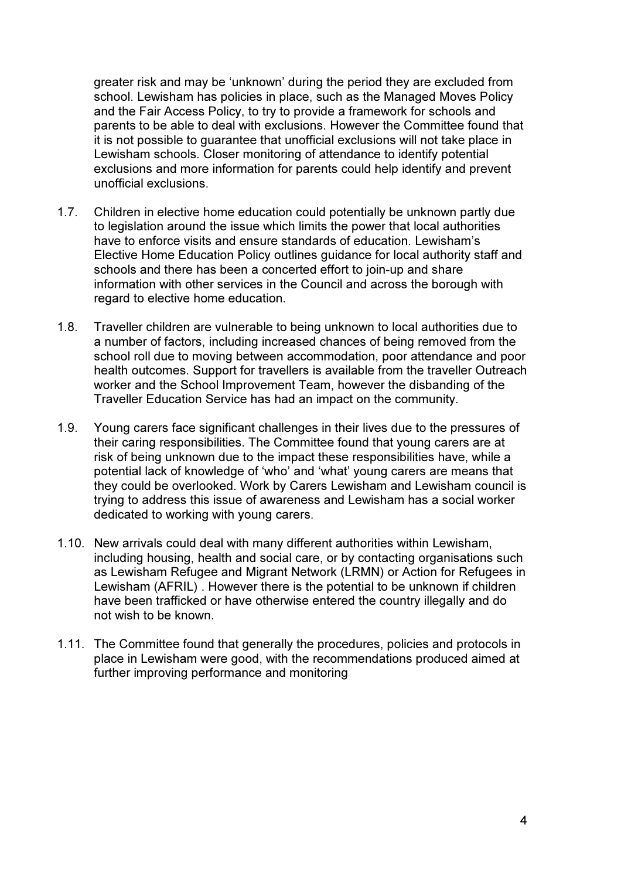greater risk and may be 'unknown' during the period they are excluded from school. Lewisham has policies in place, such as the Managed Moves Policy and the Fair Access Policy, to try to provide a framework for schools and parents to be able to deal with exclusions. However the Committee found that it is not possible to guarantee that unofficial exclusions will not take place in Lewisham schools. Closer monitoring of attendance to identify potential exclusions and more information for parents could help identify and prevent unofficial exclusions.

- 1.7. Children in elective home education could potentially be unknown partly due to legislation around the issue which limits the power that local authorities have to enforce visits and ensure standards of education. Lewisham's Elective Home Education Policy outlines guidance for local authority staff and schools and there has been a concerted effort to join-up and share information with other services in the Council and across the borough with regard to elective home education.
- 1.8. Traveller children are vulnerable to being unknown to local authorities due to a number of factors, including increased chances of being removed from the school roll due to moving between accommodation, poor attendance and poor health outcomes. Support for travellers is available from the traveller Outreach worker and the School Improvement Team, however the disbanding of the Traveller Education Service has had an impact on the community.
- 1.9. Young carers face significant challenges in their lives due to the pressures of their caring responsibilities. The Committee found that young carers are at risk of being unknown due to the impact these responsibilities have, while a potential lack of knowledge of 'who' and 'what' young carers are means that they could be overlooked. Work by Carers Lewisham and Lewisham council is trying to address this issue of awareness and Lewisham has a social worker dedicated to working with young carers.
- 1.10. New arrivals could deal with many different authorities within Lewisham, including housing, health and social care, or by contacting organisations such as Lewisham Refugee and Migrant Network (LRMN) or Action for Refugees in Lewisham (AFRIL) . However there is the potential to be unknown if children have been trafficked or have otherwise entered the country illegally and do not wish to be known.
- 1.11. The Committee found that generally the procedures, policies and protocols in place in Lewisham were good, with the recommendations produced aimed at further improving performance and monitoring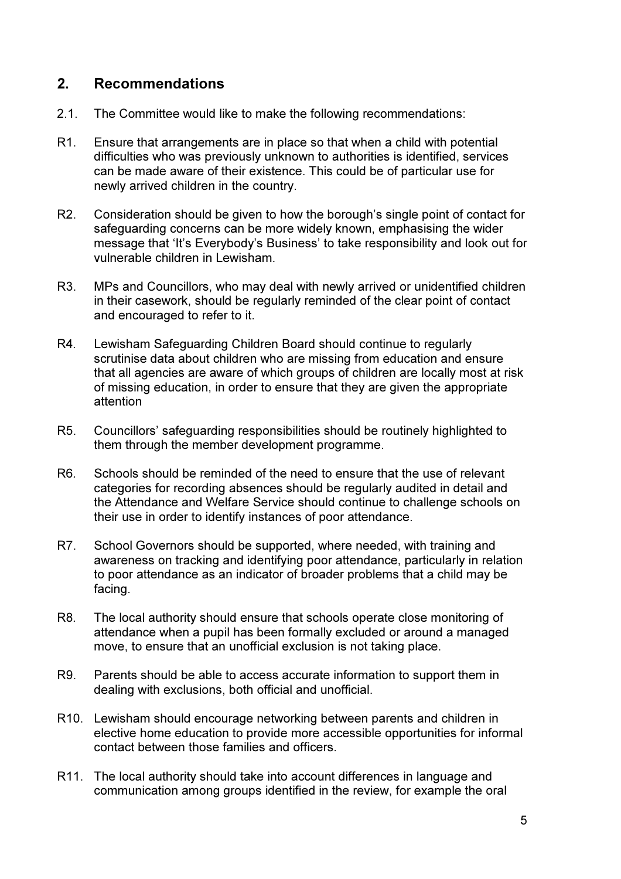## 2. Recommendations

- 2.1. The Committee would like to make the following recommendations:
- R1. Ensure that arrangements are in place so that when a child with potential difficulties who was previously unknown to authorities is identified, services can be made aware of their existence. This could be of particular use for newly arrived children in the country.
- R2. Consideration should be given to how the borough's single point of contact for safeguarding concerns can be more widely known, emphasising the wider message that 'It's Everybody's Business' to take responsibility and look out for vulnerable children in Lewisham.
- R3. MPs and Councillors, who may deal with newly arrived or unidentified children in their casework, should be regularly reminded of the clear point of contact and encouraged to refer to it.
- R4. Lewisham Safeguarding Children Board should continue to regularly scrutinise data about children who are missing from education and ensure that all agencies are aware of which groups of children are locally most at risk of missing education, in order to ensure that they are given the appropriate attention
- R5. Councillors' safeguarding responsibilities should be routinely highlighted to them through the member development programme.
- R6. Schools should be reminded of the need to ensure that the use of relevant categories for recording absences should be regularly audited in detail and the Attendance and Welfare Service should continue to challenge schools on their use in order to identify instances of poor attendance.
- R7. School Governors should be supported, where needed, with training and awareness on tracking and identifying poor attendance, particularly in relation to poor attendance as an indicator of broader problems that a child may be facing.
- R8. The local authority should ensure that schools operate close monitoring of attendance when a pupil has been formally excluded or around a managed move, to ensure that an unofficial exclusion is not taking place.
- R9. Parents should be able to access accurate information to support them in dealing with exclusions, both official and unofficial.
- R10. Lewisham should encourage networking between parents and children in elective home education to provide more accessible opportunities for informal contact between those families and officers.
- R11. The local authority should take into account differences in language and communication among groups identified in the review, for example the oral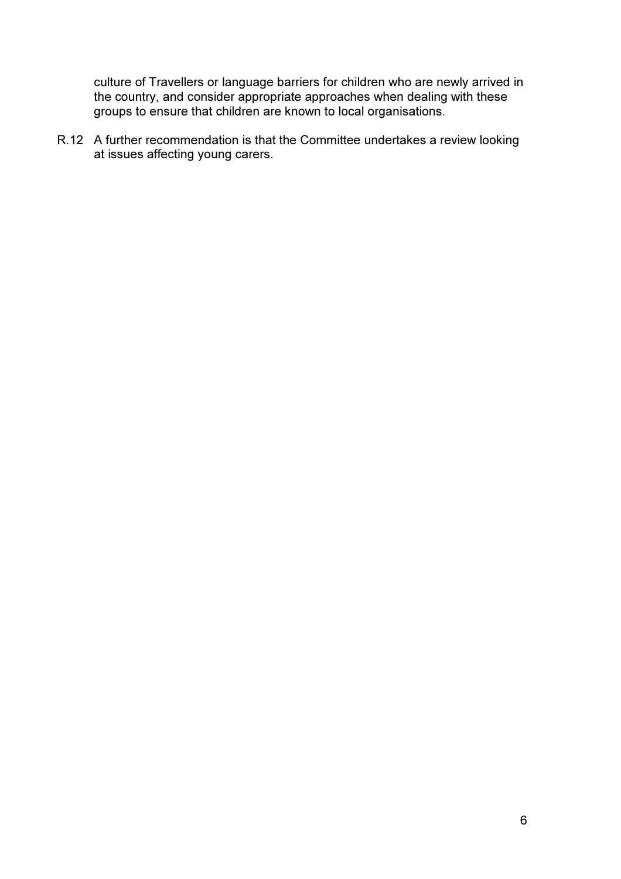culture of Travellers or language barriers for children who are newly arrived in the country, and consider appropriate approaches when dealing with these groups to ensure that children are known to local organisations.

R.12 A further recommendation is that the Committee undertakes a review looking at issues affecting young carers.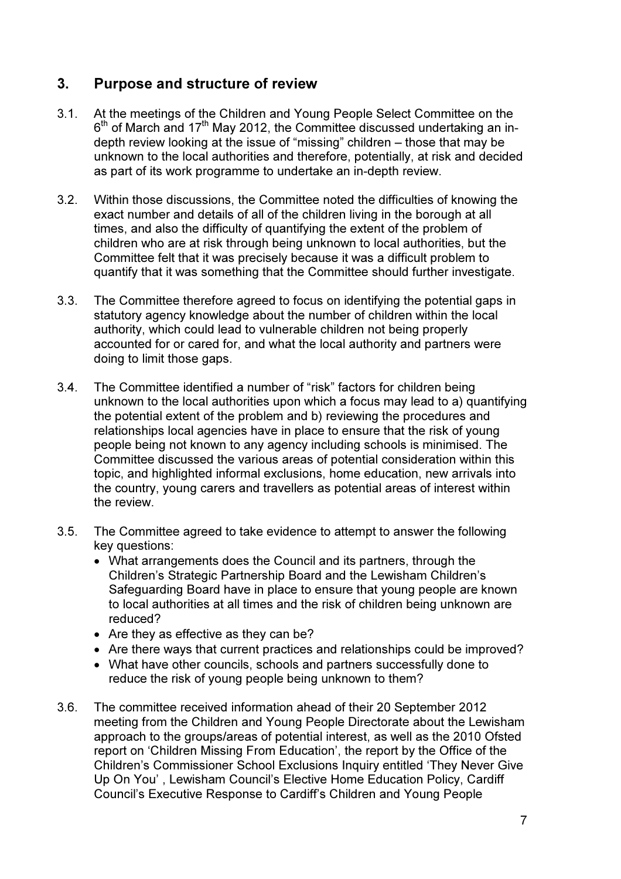# 3. Purpose and structure of review

- 3.1. At the meetings of the Children and Young People Select Committee on the 6<sup>th</sup> of March and 17<sup>th</sup> May 2012, the Committee discussed undertaking an indepth review looking at the issue of "missing" children – those that may be unknown to the local authorities and therefore, potentially, at risk and decided as part of its work programme to undertake an in-depth review.
- 3.2. Within those discussions, the Committee noted the difficulties of knowing the exact number and details of all of the children living in the borough at all times, and also the difficulty of quantifying the extent of the problem of children who are at risk through being unknown to local authorities, but the Committee felt that it was precisely because it was a difficult problem to quantify that it was something that the Committee should further investigate.
- 3.3. The Committee therefore agreed to focus on identifying the potential gaps in statutory agency knowledge about the number of children within the local authority, which could lead to vulnerable children not being properly accounted for or cared for, and what the local authority and partners were doing to limit those gaps.
- 3.4. The Committee identified a number of "risk" factors for children being unknown to the local authorities upon which a focus may lead to a) quantifying the potential extent of the problem and b) reviewing the procedures and relationships local agencies have in place to ensure that the risk of young people being not known to any agency including schools is minimised. The Committee discussed the various areas of potential consideration within this topic, and highlighted informal exclusions, home education, new arrivals into the country, young carers and travellers as potential areas of interest within the review.
- 3.5. The Committee agreed to take evidence to attempt to answer the following key questions:
	- What arrangements does the Council and its partners, through the Children's Strategic Partnership Board and the Lewisham Children's Safeguarding Board have in place to ensure that young people are known to local authorities at all times and the risk of children being unknown are reduced?
	- Are they as effective as they can be?
	- Are there ways that current practices and relationships could be improved?
	- What have other councils, schools and partners successfully done to reduce the risk of young people being unknown to them?
- 3.6. The committee received information ahead of their 20 September 2012 meeting from the Children and Young People Directorate about the Lewisham approach to the groups/areas of potential interest, as well as the 2010 Ofsted report on 'Children Missing From Education', the report by the Office of the Children's Commissioner School Exclusions Inquiry entitled 'They Never Give Up On You' , Lewisham Council's Elective Home Education Policy, Cardiff Council's Executive Response to Cardiff's Children and Young People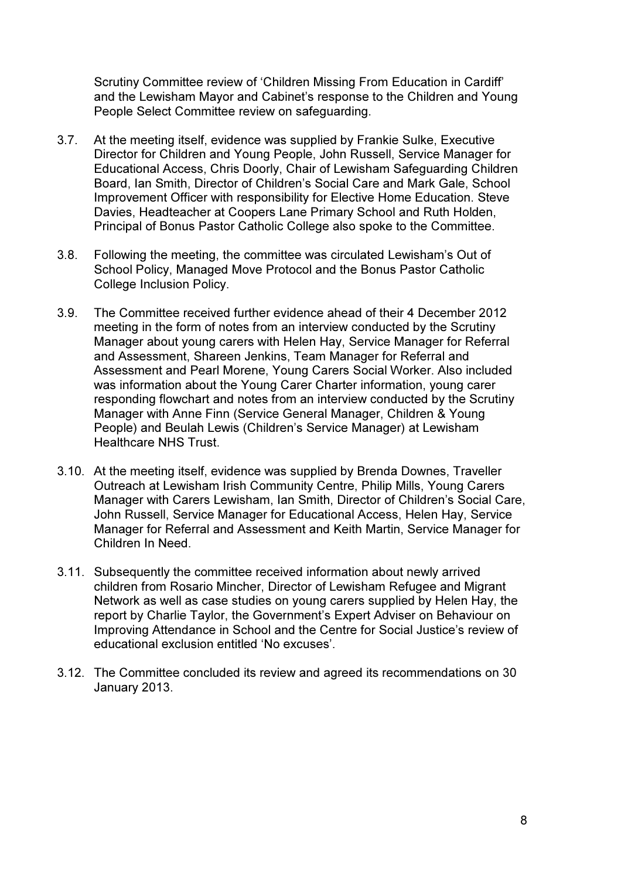Scrutiny Committee review of 'Children Missing From Education in Cardiff' and the Lewisham Mayor and Cabinet's response to the Children and Young People Select Committee review on safeguarding.

- 3.7. At the meeting itself, evidence was supplied by Frankie Sulke, Executive Director for Children and Young People, John Russell, Service Manager for Educational Access, Chris Doorly, Chair of Lewisham Safeguarding Children Board, Ian Smith, Director of Children's Social Care and Mark Gale, School Improvement Officer with responsibility for Elective Home Education. Steve Davies, Headteacher at Coopers Lane Primary School and Ruth Holden, Principal of Bonus Pastor Catholic College also spoke to the Committee.
- 3.8. Following the meeting, the committee was circulated Lewisham's Out of School Policy, Managed Move Protocol and the Bonus Pastor Catholic College Inclusion Policy.
- 3.9. The Committee received further evidence ahead of their 4 December 2012 meeting in the form of notes from an interview conducted by the Scrutiny Manager about young carers with Helen Hay, Service Manager for Referral and Assessment, Shareen Jenkins, Team Manager for Referral and Assessment and Pearl Morene, Young Carers Social Worker. Also included was information about the Young Carer Charter information, young carer responding flowchart and notes from an interview conducted by the Scrutiny Manager with Anne Finn (Service General Manager, Children & Young People) and Beulah Lewis (Children's Service Manager) at Lewisham Healthcare NHS Trust.
- 3.10. At the meeting itself, evidence was supplied by Brenda Downes, Traveller Outreach at Lewisham Irish Community Centre, Philip Mills, Young Carers Manager with Carers Lewisham, Ian Smith, Director of Children's Social Care, John Russell, Service Manager for Educational Access, Helen Hay, Service Manager for Referral and Assessment and Keith Martin, Service Manager for Children In Need.
- 3.11. Subsequently the committee received information about newly arrived children from Rosario Mincher, Director of Lewisham Refugee and Migrant Network as well as case studies on young carers supplied by Helen Hay, the report by Charlie Taylor, the Government's Expert Adviser on Behaviour on Improving Attendance in School and the Centre for Social Justice's review of educational exclusion entitled 'No excuses'.
- 3.12. The Committee concluded its review and agreed its recommendations on 30 January 2013.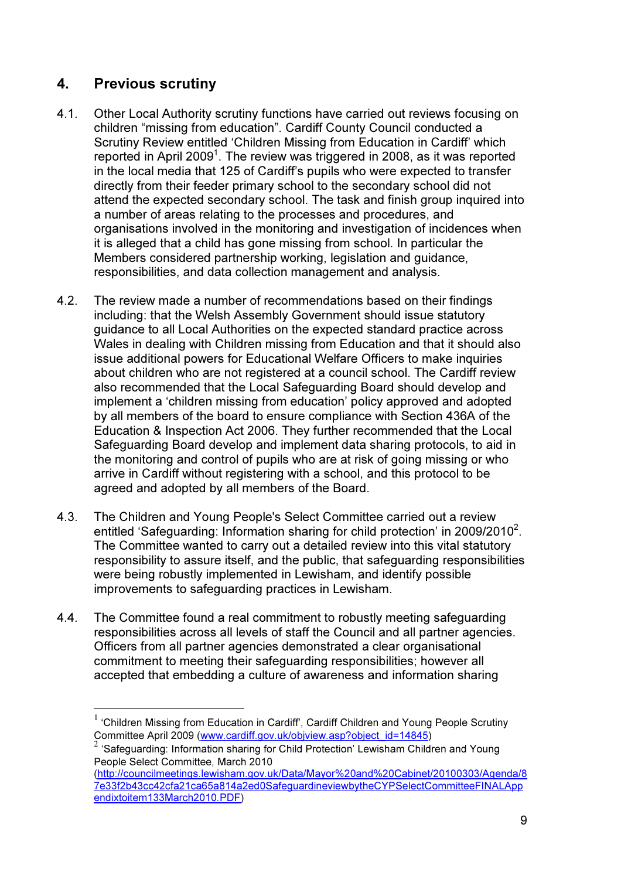# 4. Previous scrutiny

- 4.1. Other Local Authority scrutiny functions have carried out reviews focusing on children "missing from education". Cardiff County Council conducted a Scrutiny Review entitled 'Children Missing from Education in Cardiff' which reported in April 2009<sup>1</sup>. The review was triggered in 2008, as it was reported in the local media that 125 of Cardiff's pupils who were expected to transfer directly from their feeder primary school to the secondary school did not attend the expected secondary school. The task and finish group inquired into a number of areas relating to the processes and procedures, and organisations involved in the monitoring and investigation of incidences when it is alleged that a child has gone missing from school. In particular the Members considered partnership working, legislation and guidance, responsibilities, and data collection management and analysis.
- 4.2. The review made a number of recommendations based on their findings including: that the Welsh Assembly Government should issue statutory guidance to all Local Authorities on the expected standard practice across Wales in dealing with Children missing from Education and that it should also issue additional powers for Educational Welfare Officers to make inquiries about children who are not registered at a council school. The Cardiff review also recommended that the Local Safeguarding Board should develop and implement a 'children missing from education' policy approved and adopted by all members of the board to ensure compliance with Section 436A of the Education & Inspection Act 2006. They further recommended that the Local Safeguarding Board develop and implement data sharing protocols, to aid in the monitoring and control of pupils who are at risk of going missing or who arrive in Cardiff without registering with a school, and this protocol to be agreed and adopted by all members of the Board.
- 4.3. The Children and Young People's Select Committee carried out a review entitled 'Safeguarding: Information sharing for child protection' in 2009/2010<sup>2</sup>. The Committee wanted to carry out a detailed review into this vital statutory responsibility to assure itself, and the public, that safeguarding responsibilities were being robustly implemented in Lewisham, and identify possible improvements to safeguarding practices in Lewisham.
- 4.4. The Committee found a real commitment to robustly meeting safeguarding responsibilities across all levels of staff the Council and all partner agencies. Officers from all partner agencies demonstrated a clear organisational commitment to meeting their safeguarding responsibilities; however all accepted that embedding a culture of awareness and information sharing

 $1$  'Children Missing from Education in Cardiff', Cardiff Children and Young People Scrutiny Committee April 2009 (www.cardiff.gov.uk/objview.asp?object\_id=14845)

<sup>&</sup>lt;sup>2</sup> 'Safeguarding: Information sharing for Child Protection' Lewisham Children and Young People Select Committee, March 2010

<sup>(</sup>http://councilmeetings.lewisham.gov.uk/Data/Mayor%20and%20Cabinet/20100303/Agenda/8 7e33f2b43cc42cfa21ca65a814a2ed0SafeguardineviewbytheCYPSelectCommitteeFINALApp endixtoitem133March2010.PDF)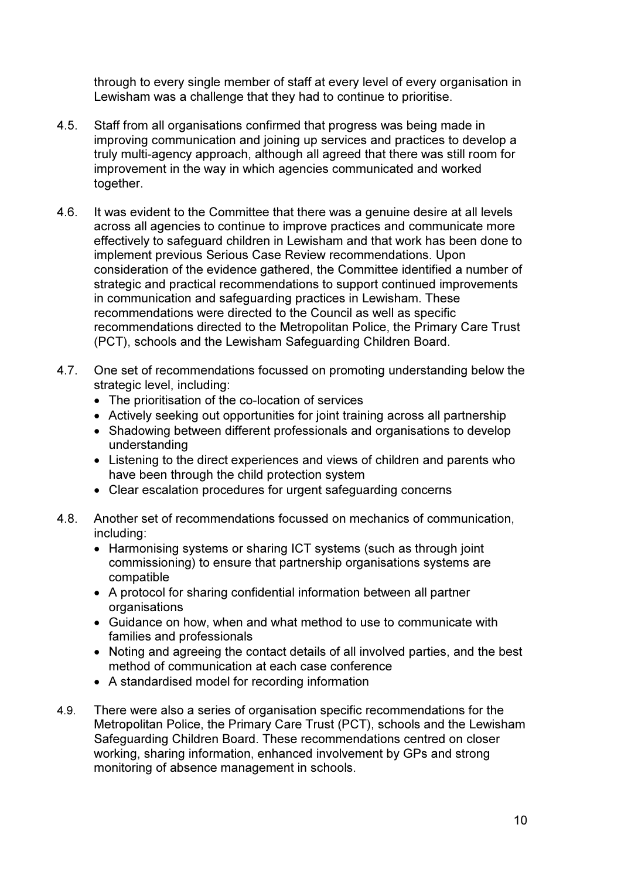through to every single member of staff at every level of every organisation in Lewisham was a challenge that they had to continue to prioritise.

- 4.5. Staff from all organisations confirmed that progress was being made in improving communication and joining up services and practices to develop a truly multi-agency approach, although all agreed that there was still room for improvement in the way in which agencies communicated and worked together.
- 4.6. It was evident to the Committee that there was a genuine desire at all levels across all agencies to continue to improve practices and communicate more effectively to safeguard children in Lewisham and that work has been done to implement previous Serious Case Review recommendations. Upon consideration of the evidence gathered, the Committee identified a number of strategic and practical recommendations to support continued improvements in communication and safeguarding practices in Lewisham. These recommendations were directed to the Council as well as specific recommendations directed to the Metropolitan Police, the Primary Care Trust (PCT), schools and the Lewisham Safeguarding Children Board.
- 4.7. One set of recommendations focussed on promoting understanding below the strategic level, including:
	- The prioritisation of the co-location of services
	- Actively seeking out opportunities for joint training across all partnership
	- Shadowing between different professionals and organisations to develop understanding
	- Listening to the direct experiences and views of children and parents who have been through the child protection system
	- Clear escalation procedures for urgent safeguarding concerns
- 4.8. Another set of recommendations focussed on mechanics of communication, including:
	- Harmonising systems or sharing ICT systems (such as through joint commissioning) to ensure that partnership organisations systems are compatible
	- A protocol for sharing confidential information between all partner organisations
	- Guidance on how, when and what method to use to communicate with families and professionals
	- Noting and agreeing the contact details of all involved parties, and the best method of communication at each case conference
	- A standardised model for recording information
- 4.9. There were also a series of organisation specific recommendations for the Metropolitan Police, the Primary Care Trust (PCT), schools and the Lewisham Safeguarding Children Board. These recommendations centred on closer working, sharing information, enhanced involvement by GPs and strong monitoring of absence management in schools.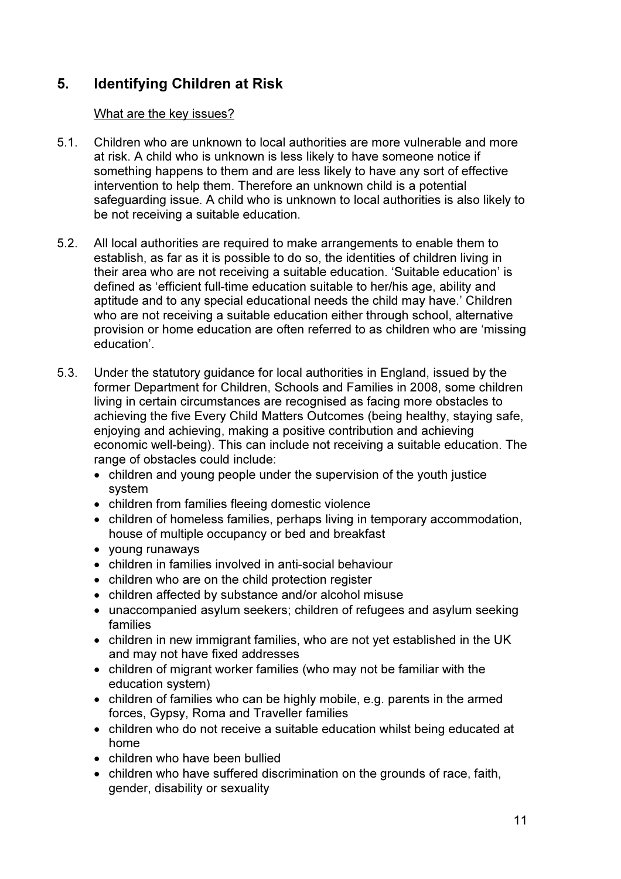# 5. Identifying Children at Risk

## What are the key issues?

- 5.1. Children who are unknown to local authorities are more vulnerable and more at risk. A child who is unknown is less likely to have someone notice if something happens to them and are less likely to have any sort of effective intervention to help them. Therefore an unknown child is a potential safeguarding issue. A child who is unknown to local authorities is also likely to be not receiving a suitable education.
- 5.2. All local authorities are required to make arrangements to enable them to establish, as far as it is possible to do so, the identities of children living in their area who are not receiving a suitable education. 'Suitable education' is defined as 'efficient full-time education suitable to her/his age, ability and aptitude and to any special educational needs the child may have.' Children who are not receiving a suitable education either through school, alternative provision or home education are often referred to as children who are 'missing education'.
- 5.3. Under the statutory guidance for local authorities in England, issued by the former Department for Children, Schools and Families in 2008, some children living in certain circumstances are recognised as facing more obstacles to achieving the five Every Child Matters Outcomes (being healthy, staying safe, enjoying and achieving, making a positive contribution and achieving economic well-being). This can include not receiving a suitable education. The range of obstacles could include:
	- children and young people under the supervision of the youth justice system
	- children from families fleeing domestic violence
	- children of homeless families, perhaps living in temporary accommodation, house of multiple occupancy or bed and breakfast
	- young runaways
	- children in families involved in anti-social behaviour
	- children who are on the child protection register
	- children affected by substance and/or alcohol misuse
	- unaccompanied asylum seekers; children of refugees and asylum seeking families
	- children in new immigrant families, who are not yet established in the UK and may not have fixed addresses
	- children of migrant worker families (who may not be familiar with the education system)
	- children of families who can be highly mobile, e.g. parents in the armed forces, Gypsy, Roma and Traveller families
	- children who do not receive a suitable education whilst being educated at home
	- children who have been bullied
	- children who have suffered discrimination on the grounds of race, faith, gender, disability or sexuality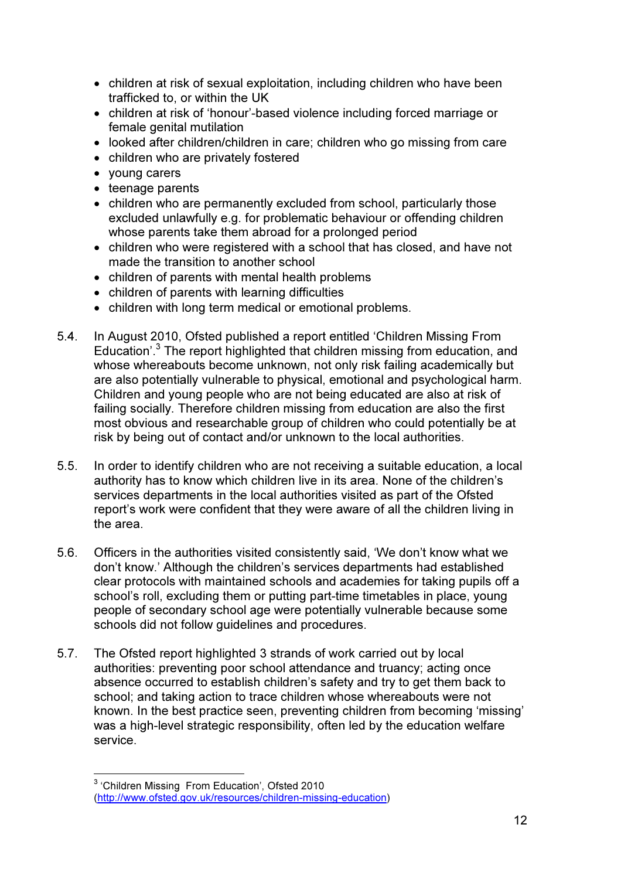- children at risk of sexual exploitation, including children who have been trafficked to, or within the UK
- children at risk of 'honour'-based violence including forced marriage or female genital mutilation
- looked after children/children in care; children who go missing from care
- children who are privately fostered
- young carers
- teenage parents
- children who are permanently excluded from school, particularly those excluded unlawfully e.g. for problematic behaviour or offending children whose parents take them abroad for a prolonged period
- children who were registered with a school that has closed, and have not made the transition to another school
- children of parents with mental health problems
- children of parents with learning difficulties
- children with long term medical or emotional problems.
- 5.4. In August 2010, Ofsted published a report entitled 'Children Missing From Education'.<sup>3</sup> The report highlighted that children missing from education, and whose whereabouts become unknown, not only risk failing academically but are also potentially vulnerable to physical, emotional and psychological harm. Children and young people who are not being educated are also at risk of failing socially. Therefore children missing from education are also the first most obvious and researchable group of children who could potentially be at risk by being out of contact and/or unknown to the local authorities.
- 5.5. In order to identify children who are not receiving a suitable education, a local authority has to know which children live in its area. None of the children's services departments in the local authorities visited as part of the Ofsted report's work were confident that they were aware of all the children living in the area.
- 5.6. Officers in the authorities visited consistently said, 'We don't know what we don't know.' Although the children's services departments had established clear protocols with maintained schools and academies for taking pupils off a school's roll, excluding them or putting part-time timetables in place, young people of secondary school age were potentially vulnerable because some schools did not follow guidelines and procedures.
- 5.7. The Ofsted report highlighted 3 strands of work carried out by local authorities: preventing poor school attendance and truancy; acting once absence occurred to establish children's safety and try to get them back to school; and taking action to trace children whose whereabouts were not known. In the best practice seen, preventing children from becoming 'missing' was a high-level strategic responsibility, often led by the education welfare service.

<sup>&</sup>lt;sup>3</sup> 'Children Missing From Education', Ofsted 2010 (http://www.ofsted.gov.uk/resources/children-missing-education)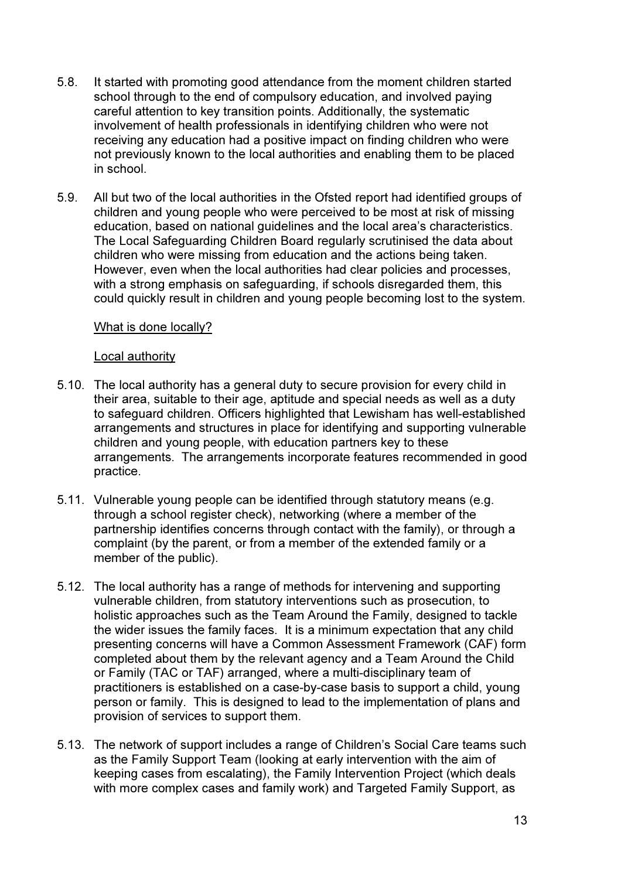- 5.8. It started with promoting good attendance from the moment children started school through to the end of compulsory education, and involved paying careful attention to key transition points. Additionally, the systematic involvement of health professionals in identifying children who were not receiving any education had a positive impact on finding children who were not previously known to the local authorities and enabling them to be placed in school.
- 5.9. All but two of the local authorities in the Ofsted report had identified groups of children and young people who were perceived to be most at risk of missing education, based on national guidelines and the local area's characteristics. The Local Safeguarding Children Board regularly scrutinised the data about children who were missing from education and the actions being taken. However, even when the local authorities had clear policies and processes, with a strong emphasis on safeguarding, if schools disregarded them, this could quickly result in children and young people becoming lost to the system.

## What is done locally?

#### Local authority

- 5.10. The local authority has a general duty to secure provision for every child in their area, suitable to their age, aptitude and special needs as well as a duty to safeguard children. Officers highlighted that Lewisham has well-established arrangements and structures in place for identifying and supporting vulnerable children and young people, with education partners key to these arrangements. The arrangements incorporate features recommended in good practice.
- 5.11. Vulnerable young people can be identified through statutory means (e.g. through a school register check), networking (where a member of the partnership identifies concerns through contact with the family), or through a complaint (by the parent, or from a member of the extended family or a member of the public).
- 5.12. The local authority has a range of methods for intervening and supporting vulnerable children, from statutory interventions such as prosecution, to holistic approaches such as the Team Around the Family, designed to tackle the wider issues the family faces. It is a minimum expectation that any child presenting concerns will have a Common Assessment Framework (CAF) form completed about them by the relevant agency and a Team Around the Child or Family (TAC or TAF) arranged, where a multi-disciplinary team of practitioners is established on a case-by-case basis to support a child, young person or family. This is designed to lead to the implementation of plans and provision of services to support them.
- 5.13. The network of support includes a range of Children's Social Care teams such as the Family Support Team (looking at early intervention with the aim of keeping cases from escalating), the Family Intervention Project (which deals with more complex cases and family work) and Targeted Family Support, as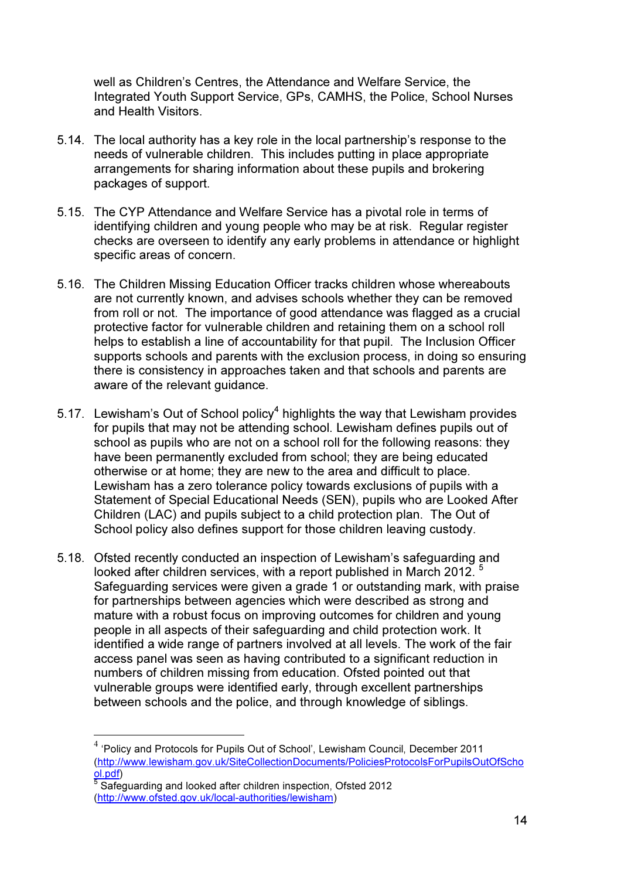well as Children's Centres, the Attendance and Welfare Service, the Integrated Youth Support Service, GPs, CAMHS, the Police, School Nurses and Health Visitors.

- 5.14. The local authority has a key role in the local partnership's response to the needs of vulnerable children. This includes putting in place appropriate arrangements for sharing information about these pupils and brokering packages of support.
- 5.15. The CYP Attendance and Welfare Service has a pivotal role in terms of identifying children and young people who may be at risk. Regular register checks are overseen to identify any early problems in attendance or highlight specific areas of concern.
- 5.16. The Children Missing Education Officer tracks children whose whereabouts are not currently known, and advises schools whether they can be removed from roll or not. The importance of good attendance was flagged as a crucial protective factor for vulnerable children and retaining them on a school roll helps to establish a line of accountability for that pupil. The Inclusion Officer supports schools and parents with the exclusion process, in doing so ensuring there is consistency in approaches taken and that schools and parents are aware of the relevant quidance.
- 5.17. Lewisham's Out of School policy<sup>4</sup> highlights the way that Lewisham provides for pupils that may not be attending school. Lewisham defines pupils out of school as pupils who are not on a school roll for the following reasons: they have been permanently excluded from school; they are being educated otherwise or at home; they are new to the area and difficult to place. Lewisham has a zero tolerance policy towards exclusions of pupils with a Statement of Special Educational Needs (SEN), pupils who are Looked After Children (LAC) and pupils subject to a child protection plan. The Out of School policy also defines support for those children leaving custody.
- 5.18. Ofsted recently conducted an inspection of Lewisham's safeguarding and looked after children services, with a report published in March 2012. Safeguarding services were given a grade 1 or outstanding mark, with praise for partnerships between agencies which were described as strong and mature with a robust focus on improving outcomes for children and young people in all aspects of their safeguarding and child protection work. It identified a wide range of partners involved at all levels. The work of the fair access panel was seen as having contributed to a significant reduction in numbers of children missing from education. Ofsted pointed out that vulnerable groups were identified early, through excellent partnerships between schools and the police, and through knowledge of siblings.

<sup>&</sup>lt;sup>4</sup> 'Policy and Protocols for Pupils Out of School', Lewisham Council, December 2011 (http://www.lewisham.gov.uk/SiteCollectionDocuments/PoliciesProtocolsForPupilsOutOfScho <mark>ol.pdf</mark>)<br><sup>5</sup> Safeguarding and looked after children inspection, Ofsted 2012

<sup>(</sup>http://www.ofsted.gov.uk/local-authorities/lewisham)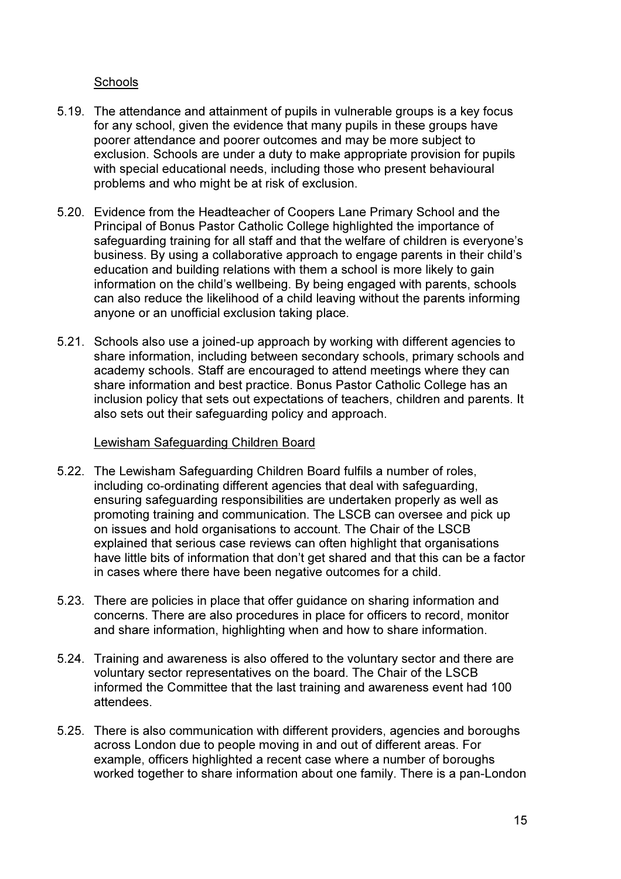## **Schools**

- 5.19. The attendance and attainment of pupils in vulnerable groups is a key focus for any school, given the evidence that many pupils in these groups have poorer attendance and poorer outcomes and may be more subject to exclusion. Schools are under a duty to make appropriate provision for pupils with special educational needs, including those who present behavioural problems and who might be at risk of exclusion.
- 5.20. Evidence from the Headteacher of Coopers Lane Primary School and the Principal of Bonus Pastor Catholic College highlighted the importance of safeguarding training for all staff and that the welfare of children is everyone's business. By using a collaborative approach to engage parents in their child's education and building relations with them a school is more likely to gain information on the child's wellbeing. By being engaged with parents, schools can also reduce the likelihood of a child leaving without the parents informing anyone or an unofficial exclusion taking place.
- 5.21. Schools also use a joined-up approach by working with different agencies to share information, including between secondary schools, primary schools and academy schools. Staff are encouraged to attend meetings where they can share information and best practice. Bonus Pastor Catholic College has an inclusion policy that sets out expectations of teachers, children and parents. It also sets out their safeguarding policy and approach.

### Lewisham Safeguarding Children Board

- 5.22. The Lewisham Safeguarding Children Board fulfils a number of roles, including co-ordinating different agencies that deal with safeguarding, ensuring safeguarding responsibilities are undertaken properly as well as promoting training and communication. The LSCB can oversee and pick up on issues and hold organisations to account. The Chair of the LSCB explained that serious case reviews can often highlight that organisations have little bits of information that don't get shared and that this can be a factor in cases where there have been negative outcomes for a child.
- 5.23. There are policies in place that offer guidance on sharing information and concerns. There are also procedures in place for officers to record, monitor and share information, highlighting when and how to share information.
- 5.24. Training and awareness is also offered to the voluntary sector and there are voluntary sector representatives on the board. The Chair of the LSCB informed the Committee that the last training and awareness event had 100 attendees.
- 5.25. There is also communication with different providers, agencies and boroughs across London due to people moving in and out of different areas. For example, officers highlighted a recent case where a number of boroughs worked together to share information about one family. There is a pan-London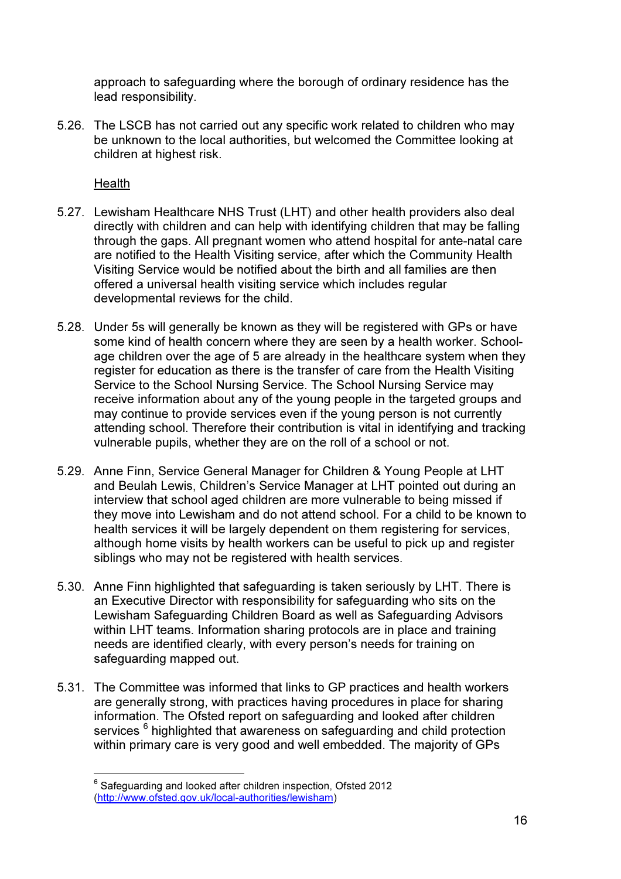approach to safeguarding where the borough of ordinary residence has the lead responsibility.

5.26. The LSCB has not carried out any specific work related to children who may be unknown to the local authorities, but welcomed the Committee looking at children at highest risk.

Health

- 5.27. Lewisham Healthcare NHS Trust (LHT) and other health providers also deal directly with children and can help with identifying children that may be falling through the gaps. All pregnant women who attend hospital for ante-natal care are notified to the Health Visiting service, after which the Community Health Visiting Service would be notified about the birth and all families are then offered a universal health visiting service which includes regular developmental reviews for the child.
- 5.28. Under 5s will generally be known as they will be registered with GPs or have some kind of health concern where they are seen by a health worker. Schoolage children over the age of 5 are already in the healthcare system when they register for education as there is the transfer of care from the Health Visiting Service to the School Nursing Service. The School Nursing Service may receive information about any of the young people in the targeted groups and may continue to provide services even if the young person is not currently attending school. Therefore their contribution is vital in identifying and tracking vulnerable pupils, whether they are on the roll of a school or not.
- 5.29. Anne Finn, Service General Manager for Children & Young People at LHT and Beulah Lewis, Children's Service Manager at LHT pointed out during an interview that school aged children are more vulnerable to being missed if they move into Lewisham and do not attend school. For a child to be known to health services it will be largely dependent on them registering for services, although home visits by health workers can be useful to pick up and register siblings who may not be registered with health services.
- 5.30. Anne Finn highlighted that safeguarding is taken seriously by LHT. There is an Executive Director with responsibility for safeguarding who sits on the Lewisham Safeguarding Children Board as well as Safeguarding Advisors within LHT teams. Information sharing protocols are in place and training needs are identified clearly, with every person's needs for training on safeguarding mapped out.
- 5.31. The Committee was informed that links to GP practices and health workers are generally strong, with practices having procedures in place for sharing information. The Ofsted report on safeguarding and looked after children services <sup>6</sup> highlighted that awareness on safeguarding and child protection within primary care is very good and well embedded. The majority of GPs

 $^6$  Safeguarding and looked after children inspection, Ofsted 2012 (http://www.ofsted.gov.uk/local-authorities/lewisham)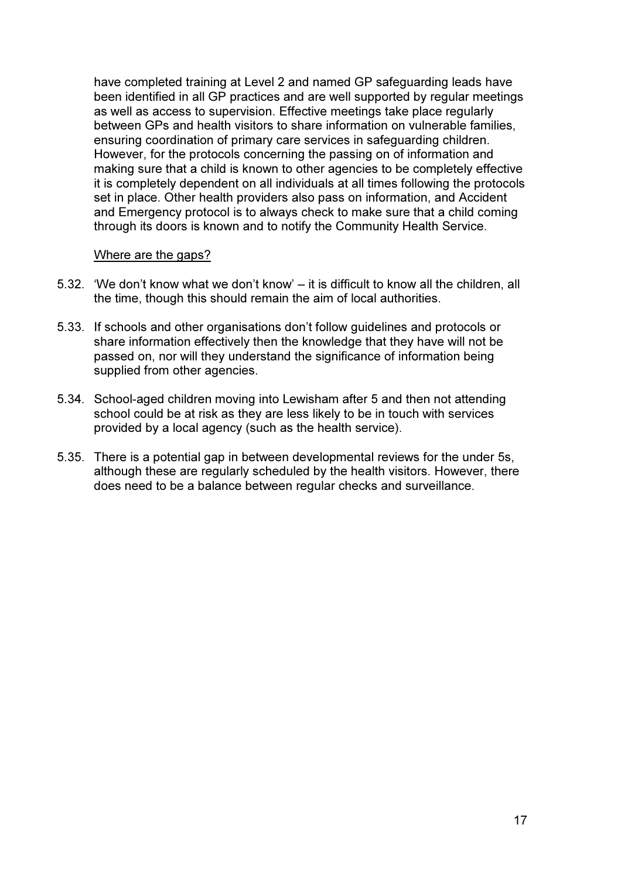have completed training at Level 2 and named GP safeguarding leads have been identified in all GP practices and are well supported by regular meetings as well as access to supervision. Effective meetings take place regularly between GPs and health visitors to share information on vulnerable families, ensuring coordination of primary care services in safeguarding children. However, for the protocols concerning the passing on of information and making sure that a child is known to other agencies to be completely effective it is completely dependent on all individuals at all times following the protocols set in place. Other health providers also pass on information, and Accident and Emergency protocol is to always check to make sure that a child coming through its doors is known and to notify the Community Health Service.

#### Where are the gaps?

- 5.32. 'We don't know what we don't know' it is difficult to know all the children, all the time, though this should remain the aim of local authorities.
- 5.33. If schools and other organisations don't follow guidelines and protocols or share information effectively then the knowledge that they have will not be passed on, nor will they understand the significance of information being supplied from other agencies.
- 5.34. School-aged children moving into Lewisham after 5 and then not attending school could be at risk as they are less likely to be in touch with services provided by a local agency (such as the health service).
- 5.35. There is a potential gap in between developmental reviews for the under 5s, although these are regularly scheduled by the health visitors. However, there does need to be a balance between regular checks and surveillance.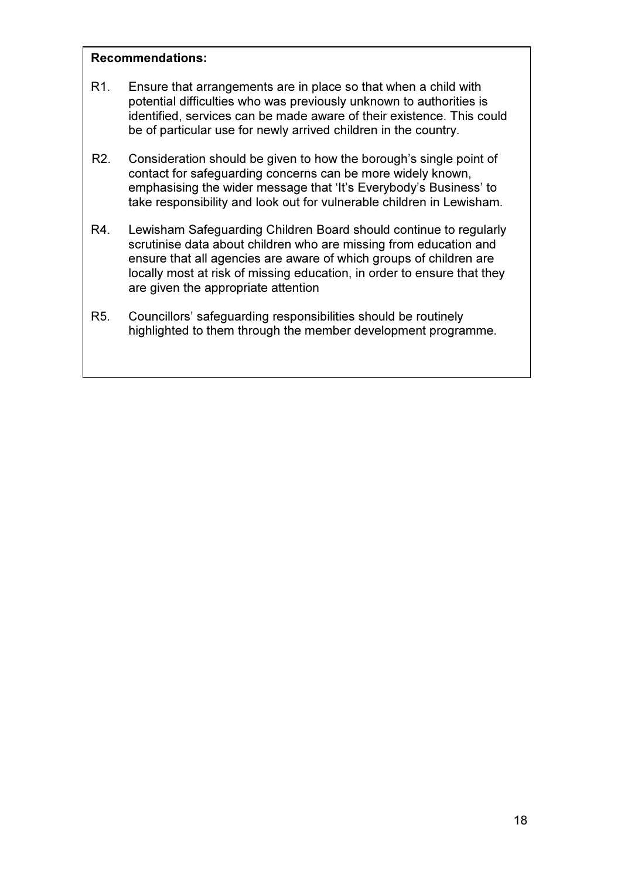#### Recommendations:

- R1. Ensure that arrangements are in place so that when a child with potential difficulties who was previously unknown to authorities is identified, services can be made aware of their existence. This could be of particular use for newly arrived children in the country.
- R2. Consideration should be given to how the borough's single point of contact for safeguarding concerns can be more widely known, emphasising the wider message that 'It's Everybody's Business' to take responsibility and look out for vulnerable children in Lewisham.
- R4. Lewisham Safeguarding Children Board should continue to regularly scrutinise data about children who are missing from education and ensure that all agencies are aware of which groups of children are locally most at risk of missing education, in order to ensure that they are given the appropriate attention
- R5. Councillors' safeguarding responsibilities should be routinely highlighted to them through the member development programme.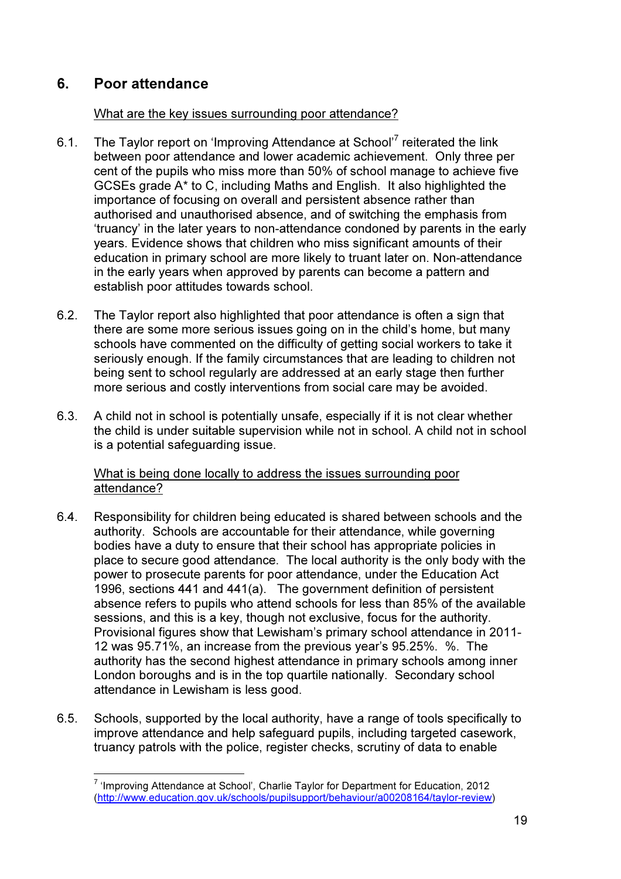# 6. Poor attendance

 $\overline{a}$ 

## What are the key issues surrounding poor attendance?

- 6.1. The Taylor report on 'Improving Attendance at School'<sup>7</sup> reiterated the link between poor attendance and lower academic achievement. Only three per cent of the pupils who miss more than 50% of school manage to achieve five GCSEs grade A\* to C, including Maths and English. It also highlighted the importance of focusing on overall and persistent absence rather than authorised and unauthorised absence, and of switching the emphasis from 'truancy' in the later years to non-attendance condoned by parents in the early years. Evidence shows that children who miss significant amounts of their education in primary school are more likely to truant later on. Non-attendance in the early years when approved by parents can become a pattern and establish poor attitudes towards school.
- 6.2. The Taylor report also highlighted that poor attendance is often a sign that there are some more serious issues going on in the child's home, but many schools have commented on the difficulty of getting social workers to take it seriously enough. If the family circumstances that are leading to children not being sent to school regularly are addressed at an early stage then further more serious and costly interventions from social care may be avoided.
- 6.3. A child not in school is potentially unsafe, especially if it is not clear whether the child is under suitable supervision while not in school. A child not in school is a potential safeguarding issue.

What is being done locally to address the issues surrounding poor attendance?

- 6.4. Responsibility for children being educated is shared between schools and the authority. Schools are accountable for their attendance, while governing bodies have a duty to ensure that their school has appropriate policies in place to secure good attendance. The local authority is the only body with the power to prosecute parents for poor attendance, under the Education Act 1996, sections 441 and 441(a). The government definition of persistent absence refers to pupils who attend schools for less than 85% of the available sessions, and this is a key, though not exclusive, focus for the authority. Provisional figures show that Lewisham's primary school attendance in 2011- 12 was 95.71%, an increase from the previous year's 95.25%. %. The authority has the second highest attendance in primary schools among inner London boroughs and is in the top quartile nationally. Secondary school attendance in Lewisham is less good.
- 6.5. Schools, supported by the local authority, have a range of tools specifically to improve attendance and help safeguard pupils, including targeted casework, truancy patrols with the police, register checks, scrutiny of data to enable

<sup>&</sup>lt;sup>7</sup> 'Improving Attendance at School', Charlie Taylor for Department for Education, 2012 (http://www.education.gov.uk/schools/pupilsupport/behaviour/a00208164/taylor-review)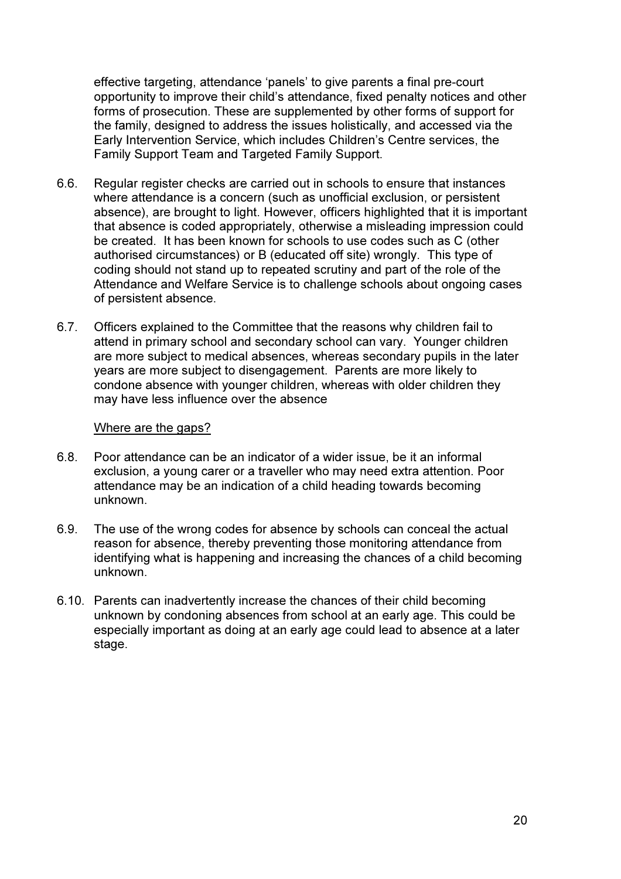effective targeting, attendance 'panels' to give parents a final pre-court opportunity to improve their child's attendance, fixed penalty notices and other forms of prosecution. These are supplemented by other forms of support for the family, designed to address the issues holistically, and accessed via the Early Intervention Service, which includes Children's Centre services, the Family Support Team and Targeted Family Support.

- 6.6. Regular register checks are carried out in schools to ensure that instances where attendance is a concern (such as unofficial exclusion, or persistent absence), are brought to light. However, officers highlighted that it is important that absence is coded appropriately, otherwise a misleading impression could be created. It has been known for schools to use codes such as C (other authorised circumstances) or B (educated off site) wrongly. This type of coding should not stand up to repeated scrutiny and part of the role of the Attendance and Welfare Service is to challenge schools about ongoing cases of persistent absence.
- 6.7. Officers explained to the Committee that the reasons why children fail to attend in primary school and secondary school can vary. Younger children are more subject to medical absences, whereas secondary pupils in the later years are more subject to disengagement. Parents are more likely to condone absence with younger children, whereas with older children they may have less influence over the absence

#### Where are the gaps?

- 6.8. Poor attendance can be an indicator of a wider issue, be it an informal exclusion, a young carer or a traveller who may need extra attention. Poor attendance may be an indication of a child heading towards becoming unknown.
- 6.9. The use of the wrong codes for absence by schools can conceal the actual reason for absence, thereby preventing those monitoring attendance from identifying what is happening and increasing the chances of a child becoming unknown.
- 6.10. Parents can inadvertently increase the chances of their child becoming unknown by condoning absences from school at an early age. This could be especially important as doing at an early age could lead to absence at a later stage.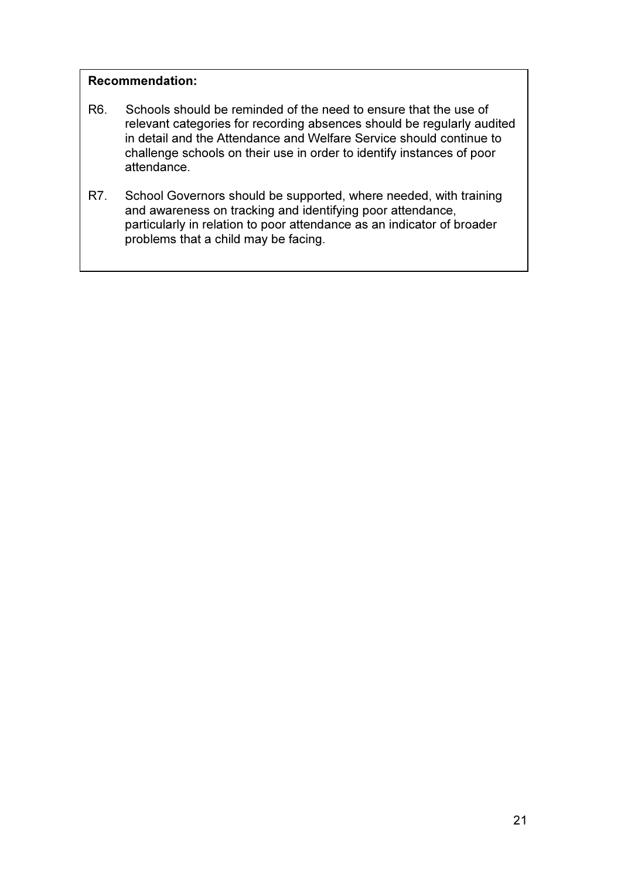## Recommendation:

- R6. Schools should be reminded of the need to ensure that the use of relevant categories for recording absences should be regularly audited in detail and the Attendance and Welfare Service should continue to challenge schools on their use in order to identify instances of poor attendance.
- R7. School Governors should be supported, where needed, with training and awareness on tracking and identifying poor attendance, particularly in relation to poor attendance as an indicator of broader problems that a child may be facing.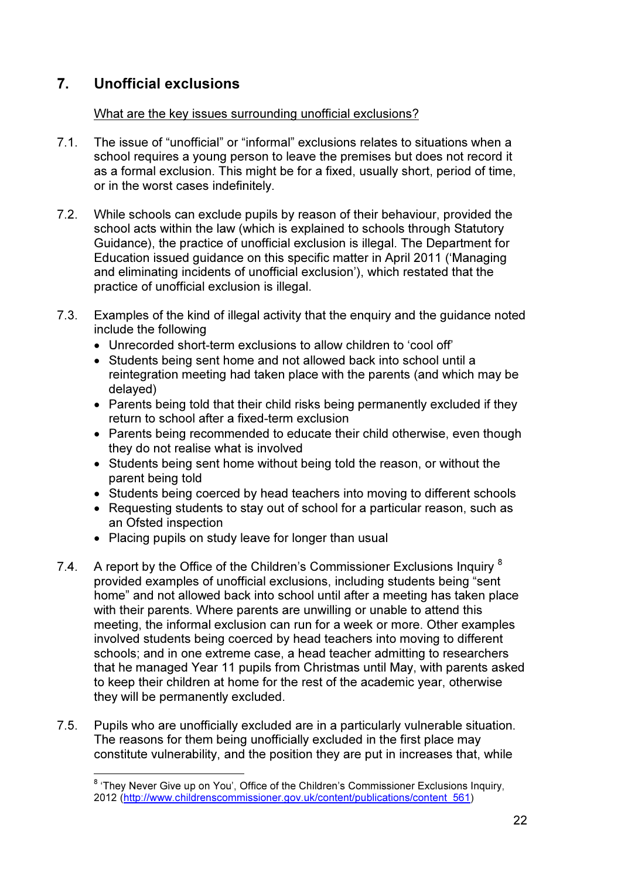# 7. Unofficial exclusions

 $\overline{a}$ 

## What are the key issues surrounding unofficial exclusions?

- 7.1. The issue of "unofficial" or "informal" exclusions relates to situations when a school requires a young person to leave the premises but does not record it as a formal exclusion. This might be for a fixed, usually short, period of time, or in the worst cases indefinitely.
- 7.2. While schools can exclude pupils by reason of their behaviour, provided the school acts within the law (which is explained to schools through Statutory Guidance), the practice of unofficial exclusion is illegal. The Department for Education issued guidance on this specific matter in April 2011 ('Managing and eliminating incidents of unofficial exclusion'), which restated that the practice of unofficial exclusion is illegal.
- 7.3. Examples of the kind of illegal activity that the enquiry and the guidance noted include the following
	- Unrecorded short-term exclusions to allow children to 'cool off'
	- Students being sent home and not allowed back into school until a reintegration meeting had taken place with the parents (and which may be delayed)
	- Parents being told that their child risks being permanently excluded if they return to school after a fixed-term exclusion
	- Parents being recommended to educate their child otherwise, even though they do not realise what is involved
	- Students being sent home without being told the reason, or without the parent being told
	- Students being coerced by head teachers into moving to different schools
	- Requesting students to stay out of school for a particular reason, such as an Ofsted inspection
	- Placing pupils on study leave for longer than usual
- 7.4. A report by the Office of the Children's Commissioner Exclusions Inquiry  $8$ provided examples of unofficial exclusions, including students being "sent home" and not allowed back into school until after a meeting has taken place with their parents. Where parents are unwilling or unable to attend this meeting, the informal exclusion can run for a week or more. Other examples involved students being coerced by head teachers into moving to different schools; and in one extreme case, a head teacher admitting to researchers that he managed Year 11 pupils from Christmas until May, with parents asked to keep their children at home for the rest of the academic year, otherwise they will be permanently excluded.
- 7.5. Pupils who are unofficially excluded are in a particularly vulnerable situation. The reasons for them being unofficially excluded in the first place may constitute vulnerability, and the position they are put in increases that, while

<sup>&</sup>lt;sup>8</sup> 'They Never Give up on You', Office of the Children's Commissioner Exclusions Inquiry, 2012 (http://www.childrenscommissioner.gov.uk/content/publications/content\_561)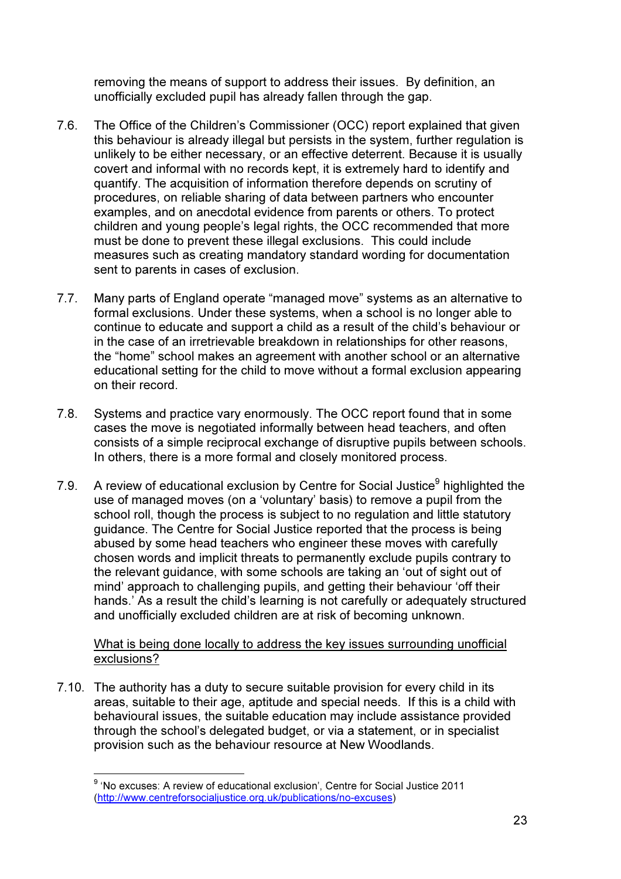removing the means of support to address their issues. By definition, an unofficially excluded pupil has already fallen through the gap.

- 7.6. The Office of the Children's Commissioner (OCC) report explained that given this behaviour is already illegal but persists in the system, further regulation is unlikely to be either necessary, or an effective deterrent. Because it is usually covert and informal with no records kept, it is extremely hard to identify and quantify. The acquisition of information therefore depends on scrutiny of procedures, on reliable sharing of data between partners who encounter examples, and on anecdotal evidence from parents or others. To protect children and young people's legal rights, the OCC recommended that more must be done to prevent these illegal exclusions. This could include measures such as creating mandatory standard wording for documentation sent to parents in cases of exclusion.
- 7.7. Many parts of England operate "managed move" systems as an alternative to formal exclusions. Under these systems, when a school is no longer able to continue to educate and support a child as a result of the child's behaviour or in the case of an irretrievable breakdown in relationships for other reasons, the "home" school makes an agreement with another school or an alternative educational setting for the child to move without a formal exclusion appearing on their record.
- 7.8. Systems and practice vary enormously. The OCC report found that in some cases the move is negotiated informally between head teachers, and often consists of a simple reciprocal exchange of disruptive pupils between schools. In others, there is a more formal and closely monitored process.
- 7.9. A review of educational exclusion by Centre for Social Justice<sup>9</sup> highlighted the use of managed moves (on a 'voluntary' basis) to remove a pupil from the school roll, though the process is subject to no regulation and little statutory guidance. The Centre for Social Justice reported that the process is being abused by some head teachers who engineer these moves with carefully chosen words and implicit threats to permanently exclude pupils contrary to the relevant guidance, with some schools are taking an 'out of sight out of mind' approach to challenging pupils, and getting their behaviour 'off their hands.' As a result the child's learning is not carefully or adequately structured and unofficially excluded children are at risk of becoming unknown.

What is being done locally to address the key issues surrounding unofficial exclusions?

7.10. The authority has a duty to secure suitable provision for every child in its areas, suitable to their age, aptitude and special needs. If this is a child with behavioural issues, the suitable education may include assistance provided through the school's delegated budget, or via a statement, or in specialist provision such as the behaviour resource at New Woodlands.

<sup>&</sup>lt;sup>9</sup> 'No excuses: A review of educational exclusion', Centre for Social Justice 2011 (http://www.centreforsocialjustice.org.uk/publications/no-excuses)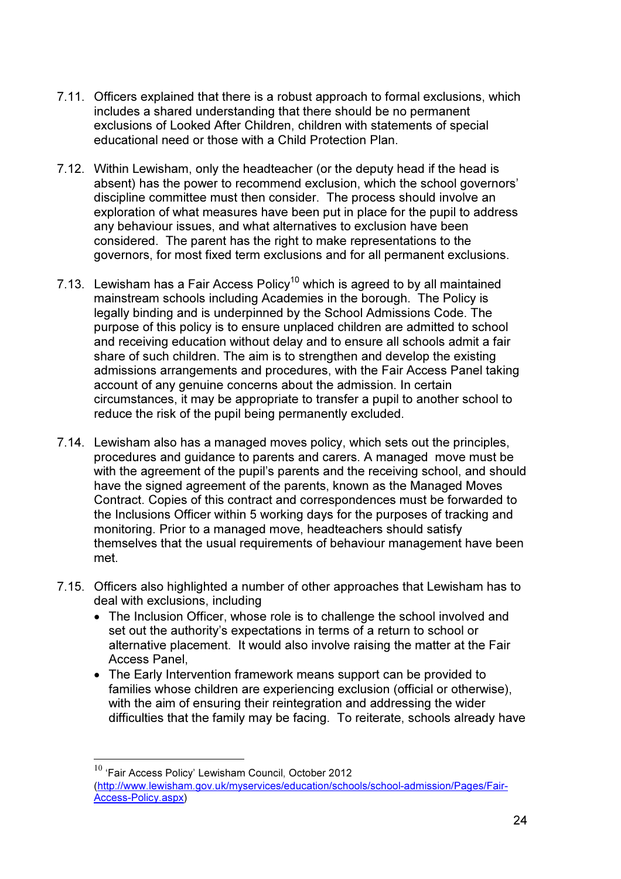- 7.11. Officers explained that there is a robust approach to formal exclusions, which includes a shared understanding that there should be no permanent exclusions of Looked After Children, children with statements of special educational need or those with a Child Protection Plan.
- 7.12. Within Lewisham, only the headteacher (or the deputy head if the head is absent) has the power to recommend exclusion, which the school governors' discipline committee must then consider. The process should involve an exploration of what measures have been put in place for the pupil to address any behaviour issues, and what alternatives to exclusion have been considered. The parent has the right to make representations to the governors, for most fixed term exclusions and for all permanent exclusions.
- 7.13. Lewisham has a Fair Access Policy<sup>10</sup> which is agreed to by all maintained mainstream schools including Academies in the borough. The Policy is legally binding and is underpinned by the School Admissions Code. The purpose of this policy is to ensure unplaced children are admitted to school and receiving education without delay and to ensure all schools admit a fair share of such children. The aim is to strengthen and develop the existing admissions arrangements and procedures, with the Fair Access Panel taking account of any genuine concerns about the admission. In certain circumstances, it may be appropriate to transfer a pupil to another school to reduce the risk of the pupil being permanently excluded.
- 7.14. Lewisham also has a managed moves policy, which sets out the principles, procedures and guidance to parents and carers. A managed move must be with the agreement of the pupil's parents and the receiving school, and should have the signed agreement of the parents, known as the Managed Moves Contract. Copies of this contract and correspondences must be forwarded to the Inclusions Officer within 5 working days for the purposes of tracking and monitoring. Prior to a managed move, headteachers should satisfy themselves that the usual requirements of behaviour management have been met.
- 7.15. Officers also highlighted a number of other approaches that Lewisham has to deal with exclusions, including
	- The Inclusion Officer, whose role is to challenge the school involved and set out the authority's expectations in terms of a return to school or alternative placement. It would also involve raising the matter at the Fair Access Panel,
	- The Early Intervention framework means support can be provided to families whose children are experiencing exclusion (official or otherwise), with the aim of ensuring their reintegration and addressing the wider difficulties that the family may be facing. To reiterate, schools already have

<sup>&</sup>lt;sup>10</sup> 'Fair Access Policy' Lewisham Council, October 2012 (http://www.lewisham.gov.uk/myservices/education/schools/school-admission/Pages/Fair-Access-Policy.aspx)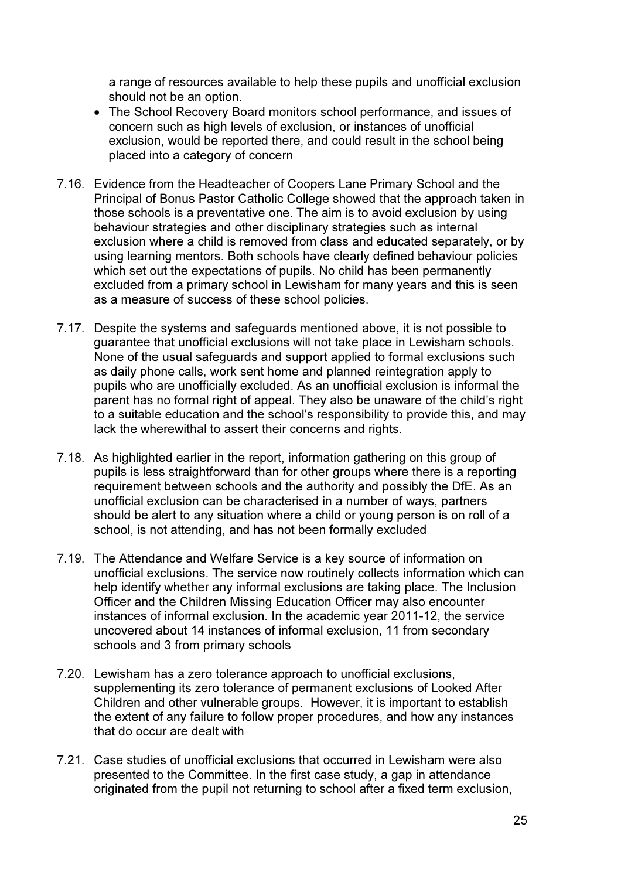a range of resources available to help these pupils and unofficial exclusion should not be an option.

- The School Recovery Board monitors school performance, and issues of concern such as high levels of exclusion, or instances of unofficial exclusion, would be reported there, and could result in the school being placed into a category of concern
- 7.16. Evidence from the Headteacher of Coopers Lane Primary School and the Principal of Bonus Pastor Catholic College showed that the approach taken in those schools is a preventative one. The aim is to avoid exclusion by using behaviour strategies and other disciplinary strategies such as internal exclusion where a child is removed from class and educated separately, or by using learning mentors. Both schools have clearly defined behaviour policies which set out the expectations of pupils. No child has been permanently excluded from a primary school in Lewisham for many years and this is seen as a measure of success of these school policies.
- 7.17. Despite the systems and safeguards mentioned above, it is not possible to guarantee that unofficial exclusions will not take place in Lewisham schools. None of the usual safeguards and support applied to formal exclusions such as daily phone calls, work sent home and planned reintegration apply to pupils who are unofficially excluded. As an unofficial exclusion is informal the parent has no formal right of appeal. They also be unaware of the child's right to a suitable education and the school's responsibility to provide this, and may lack the wherewithal to assert their concerns and rights.
- 7.18. As highlighted earlier in the report, information gathering on this group of pupils is less straightforward than for other groups where there is a reporting requirement between schools and the authority and possibly the DfE. As an unofficial exclusion can be characterised in a number of ways, partners should be alert to any situation where a child or young person is on roll of a school, is not attending, and has not been formally excluded
- 7.19. The Attendance and Welfare Service is a key source of information on unofficial exclusions. The service now routinely collects information which can help identify whether any informal exclusions are taking place. The Inclusion Officer and the Children Missing Education Officer may also encounter instances of informal exclusion. In the academic year 2011-12, the service uncovered about 14 instances of informal exclusion, 11 from secondary schools and 3 from primary schools
- 7.20. Lewisham has a zero tolerance approach to unofficial exclusions, supplementing its zero tolerance of permanent exclusions of Looked After Children and other vulnerable groups. However, it is important to establish the extent of any failure to follow proper procedures, and how any instances that do occur are dealt with
- 7.21. Case studies of unofficial exclusions that occurred in Lewisham were also presented to the Committee. In the first case study, a gap in attendance originated from the pupil not returning to school after a fixed term exclusion,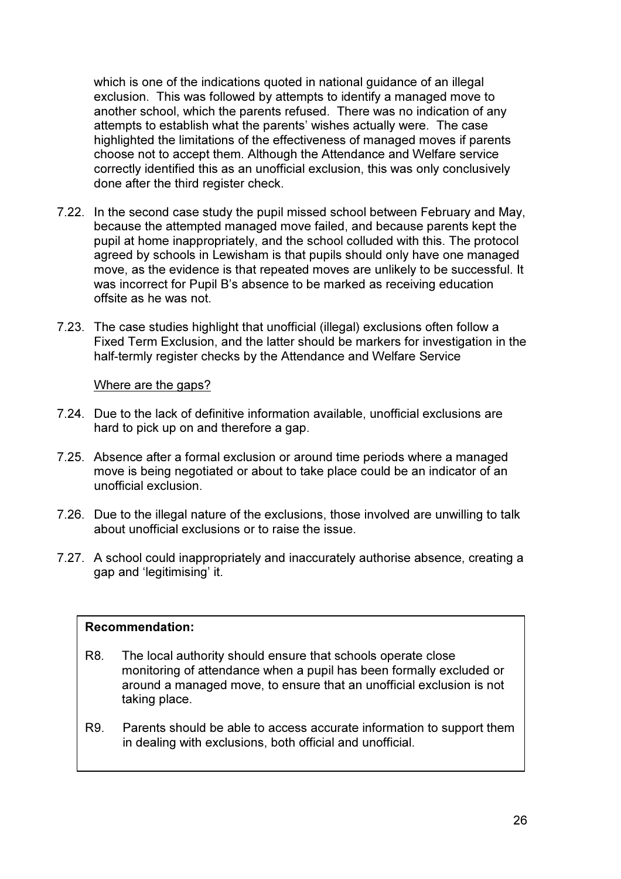which is one of the indications quoted in national guidance of an illegal exclusion. This was followed by attempts to identify a managed move to another school, which the parents refused. There was no indication of any attempts to establish what the parents' wishes actually were. The case highlighted the limitations of the effectiveness of managed moves if parents choose not to accept them. Although the Attendance and Welfare service correctly identified this as an unofficial exclusion, this was only conclusively done after the third register check.

- 7.22. In the second case study the pupil missed school between February and May, because the attempted managed move failed, and because parents kept the pupil at home inappropriately, and the school colluded with this. The protocol agreed by schools in Lewisham is that pupils should only have one managed move, as the evidence is that repeated moves are unlikely to be successful. It was incorrect for Pupil B's absence to be marked as receiving education offsite as he was not.
- 7.23. The case studies highlight that unofficial (illegal) exclusions often follow a Fixed Term Exclusion, and the latter should be markers for investigation in the half-termly register checks by the Attendance and Welfare Service

## Where are the gaps?

- 7.24. Due to the lack of definitive information available, unofficial exclusions are hard to pick up on and therefore a gap.
- 7.25. Absence after a formal exclusion or around time periods where a managed move is being negotiated or about to take place could be an indicator of an unofficial exclusion.
- 7.26. Due to the illegal nature of the exclusions, those involved are unwilling to talk about unofficial exclusions or to raise the issue.
- 7.27. A school could inappropriately and inaccurately authorise absence, creating a gap and 'legitimising' it.

#### Recommendation:

- R8. The local authority should ensure that schools operate close monitoring of attendance when a pupil has been formally excluded or around a managed move, to ensure that an unofficial exclusion is not taking place.
- R9. Parents should be able to access accurate information to support them in dealing with exclusions, both official and unofficial.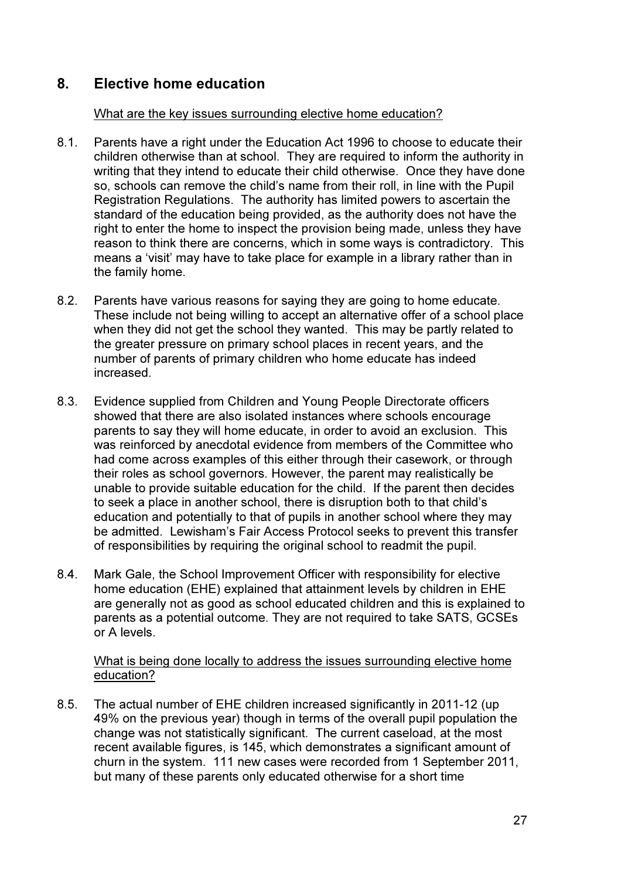## 8. Elective home education

### What are the key issues surrounding elective home education?

- 8.1. Parents have a right under the Education Act 1996 to choose to educate their children otherwise than at school. They are required to inform the authority in writing that they intend to educate their child otherwise. Once they have done so, schools can remove the child's name from their roll, in line with the Pupil Registration Regulations. The authority has limited powers to ascertain the standard of the education being provided, as the authority does not have the right to enter the home to inspect the provision being made, unless they have reason to think there are concerns, which in some ways is contradictory. This means a 'visit' may have to take place for example in a library rather than in the family home.
- 8.2. Parents have various reasons for saying they are going to home educate. These include not being willing to accept an alternative offer of a school place when they did not get the school they wanted. This may be partly related to the greater pressure on primary school places in recent years, and the number of parents of primary children who home educate has indeed increased.
- 8.3. Evidence supplied from Children and Young People Directorate officers showed that there are also isolated instances where schools encourage parents to say they will home educate, in order to avoid an exclusion. This was reinforced by anecdotal evidence from members of the Committee who had come across examples of this either through their casework, or through their roles as school governors. However, the parent may realistically be unable to provide suitable education for the child. If the parent then decides to seek a place in another school, there is disruption both to that child's education and potentially to that of pupils in another school where they may be admitted. Lewisham's Fair Access Protocol seeks to prevent this transfer of responsibilities by requiring the original school to readmit the pupil.
- 8.4. Mark Gale, the School Improvement Officer with responsibility for elective home education (EHE) explained that attainment levels by children in EHE are generally not as good as school educated children and this is explained to parents as a potential outcome. They are not required to take SATS, GCSEs or A levels.

What is being done locally to address the issues surrounding elective home education?

8.5. The actual number of EHE children increased significantly in 2011-12 (up 49% on the previous year) though in terms of the overall pupil population the change was not statistically significant. The current caseload, at the most recent available figures, is 145, which demonstrates a significant amount of churn in the system. 111 new cases were recorded from 1 September 2011, but many of these parents only educated otherwise for a short time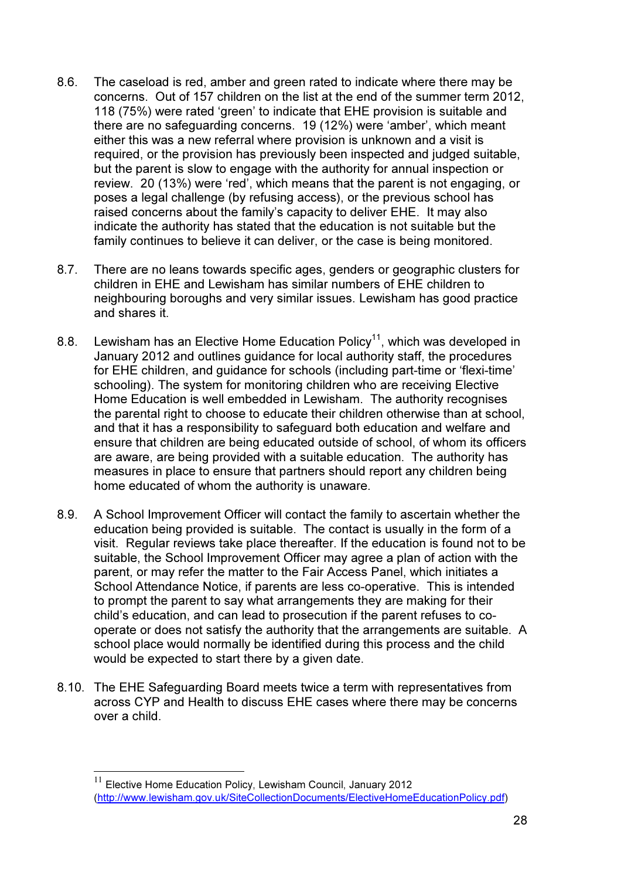- 8.6. The caseload is red, amber and green rated to indicate where there may be concerns. Out of 157 children on the list at the end of the summer term 2012, 118 (75%) were rated 'green' to indicate that EHE provision is suitable and there are no safeguarding concerns. 19 (12%) were 'amber', which meant either this was a new referral where provision is unknown and a visit is required, or the provision has previously been inspected and judged suitable, but the parent is slow to engage with the authority for annual inspection or review. 20 (13%) were 'red', which means that the parent is not engaging, or poses a legal challenge (by refusing access), or the previous school has raised concerns about the family's capacity to deliver EHE. It may also indicate the authority has stated that the education is not suitable but the family continues to believe it can deliver, or the case is being monitored.
- 8.7. There are no leans towards specific ages, genders or geographic clusters for children in EHE and Lewisham has similar numbers of EHE children to neighbouring boroughs and very similar issues. Lewisham has good practice and shares it.
- 8.8. Lewisham has an Elective Home Education Policy<sup>11</sup>, which was developed in January 2012 and outlines guidance for local authority staff, the procedures for EHE children, and guidance for schools (including part-time or 'flexi-time' schooling). The system for monitoring children who are receiving Elective Home Education is well embedded in Lewisham. The authority recognises the parental right to choose to educate their children otherwise than at school, and that it has a responsibility to safeguard both education and welfare and ensure that children are being educated outside of school, of whom its officers are aware, are being provided with a suitable education. The authority has measures in place to ensure that partners should report any children being home educated of whom the authority is unaware.
- 8.9. A School Improvement Officer will contact the family to ascertain whether the education being provided is suitable. The contact is usually in the form of a visit. Regular reviews take place thereafter. If the education is found not to be suitable, the School Improvement Officer may agree a plan of action with the parent, or may refer the matter to the Fair Access Panel, which initiates a School Attendance Notice, if parents are less co-operative. This is intended to prompt the parent to say what arrangements they are making for their child's education, and can lead to prosecution if the parent refuses to cooperate or does not satisfy the authority that the arrangements are suitable. A school place would normally be identified during this process and the child would be expected to start there by a given date.
- 8.10. The EHE Safeguarding Board meets twice a term with representatives from across CYP and Health to discuss EHE cases where there may be concerns over a child.

 $11$  Elective Home Education Policy, Lewisham Council, January 2012 (http://www.lewisham.gov.uk/SiteCollectionDocuments/ElectiveHomeEducationPolicy.pdf)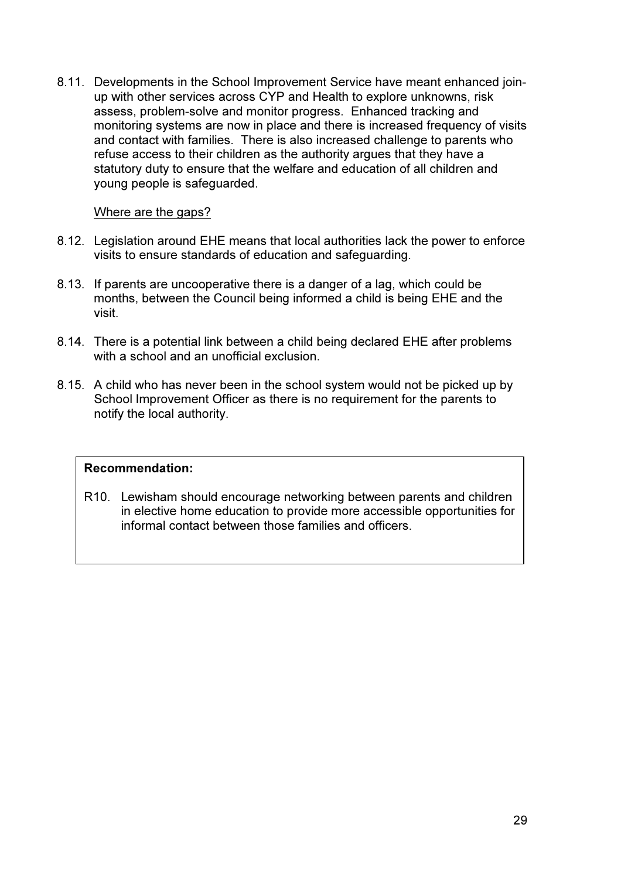8.11. Developments in the School Improvement Service have meant enhanced joinup with other services across CYP and Health to explore unknowns, risk assess, problem-solve and monitor progress. Enhanced tracking and monitoring systems are now in place and there is increased frequency of visits and contact with families. There is also increased challenge to parents who refuse access to their children as the authority argues that they have a statutory duty to ensure that the welfare and education of all children and young people is safeguarded.

## Where are the gaps?

- 8.12. Legislation around EHE means that local authorities lack the power to enforce visits to ensure standards of education and safeguarding.
- 8.13. If parents are uncooperative there is a danger of a lag, which could be months, between the Council being informed a child is being EHE and the visit.
- 8.14. There is a potential link between a child being declared EHE after problems with a school and an unofficial exclusion
- 8.15. A child who has never been in the school system would not be picked up by School Improvement Officer as there is no requirement for the parents to notify the local authority.

## Recommendation:

R10. Lewisham should encourage networking between parents and children in elective home education to provide more accessible opportunities for informal contact between those families and officers.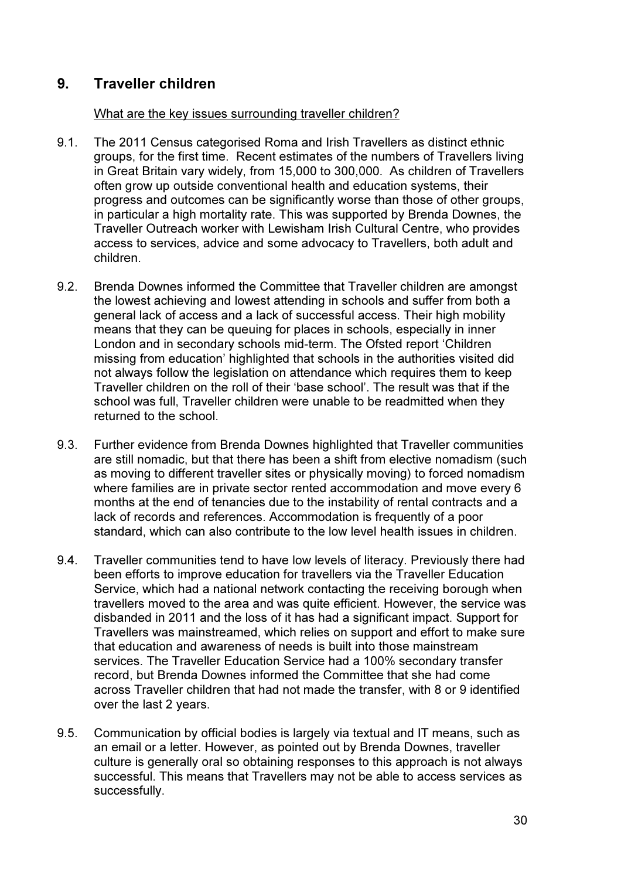# 9. Traveller children

## What are the key issues surrounding traveller children?

- 9.1. The 2011 Census categorised Roma and Irish Travellers as distinct ethnic groups, for the first time. Recent estimates of the numbers of Travellers living in Great Britain vary widely, from 15,000 to 300,000. As children of Travellers often grow up outside conventional health and education systems, their progress and outcomes can be significantly worse than those of other groups, in particular a high mortality rate. This was supported by Brenda Downes, the Traveller Outreach worker with Lewisham Irish Cultural Centre, who provides access to services, advice and some advocacy to Travellers, both adult and children.
- 9.2. Brenda Downes informed the Committee that Traveller children are amongst the lowest achieving and lowest attending in schools and suffer from both a general lack of access and a lack of successful access. Their high mobility means that they can be queuing for places in schools, especially in inner London and in secondary schools mid-term. The Ofsted report 'Children missing from education' highlighted that schools in the authorities visited did not always follow the legislation on attendance which requires them to keep Traveller children on the roll of their 'base school'. The result was that if the school was full, Traveller children were unable to be readmitted when they returned to the school.
- 9.3. Further evidence from Brenda Downes highlighted that Traveller communities are still nomadic, but that there has been a shift from elective nomadism (such as moving to different traveller sites or physically moving) to forced nomadism where families are in private sector rented accommodation and move every 6 months at the end of tenancies due to the instability of rental contracts and a lack of records and references. Accommodation is frequently of a poor standard, which can also contribute to the low level health issues in children.
- 9.4. Traveller communities tend to have low levels of literacy. Previously there had been efforts to improve education for travellers via the Traveller Education Service, which had a national network contacting the receiving borough when travellers moved to the area and was quite efficient. However, the service was disbanded in 2011 and the loss of it has had a significant impact. Support for Travellers was mainstreamed, which relies on support and effort to make sure that education and awareness of needs is built into those mainstream services. The Traveller Education Service had a 100% secondary transfer record, but Brenda Downes informed the Committee that she had come across Traveller children that had not made the transfer, with 8 or 9 identified over the last 2 years.
- 9.5. Communication by official bodies is largely via textual and IT means, such as an email or a letter. However, as pointed out by Brenda Downes, traveller culture is generally oral so obtaining responses to this approach is not always successful. This means that Travellers may not be able to access services as successfully.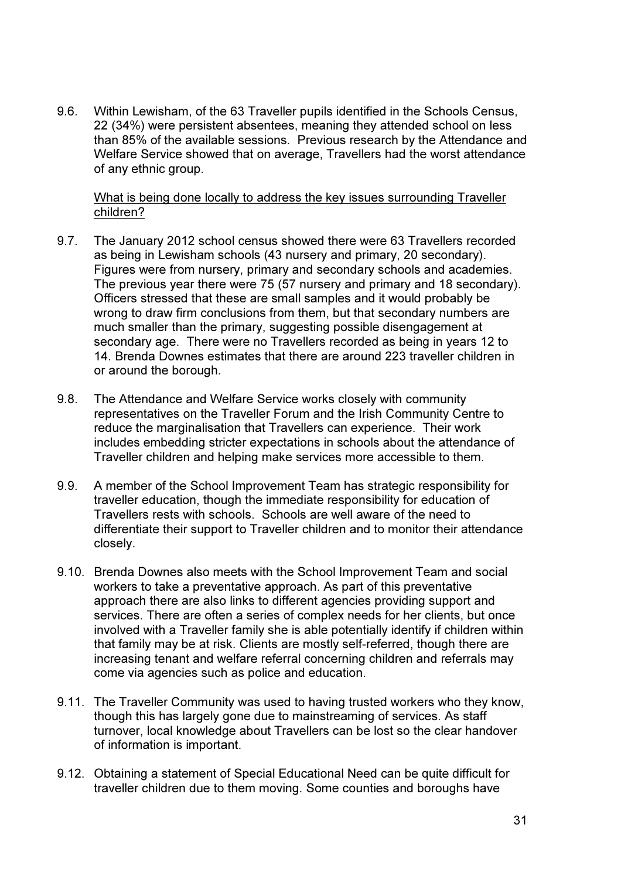9.6. Within Lewisham, of the 63 Traveller pupils identified in the Schools Census, 22 (34%) were persistent absentees, meaning they attended school on less than 85% of the available sessions. Previous research by the Attendance and Welfare Service showed that on average, Travellers had the worst attendance of any ethnic group.

## What is being done locally to address the key issues surrounding Traveller children?

- 9.7. The January 2012 school census showed there were 63 Travellers recorded as being in Lewisham schools (43 nursery and primary, 20 secondary). Figures were from nursery, primary and secondary schools and academies. The previous year there were 75 (57 nursery and primary and 18 secondary). Officers stressed that these are small samples and it would probably be wrong to draw firm conclusions from them, but that secondary numbers are much smaller than the primary, suggesting possible disengagement at secondary age. There were no Travellers recorded as being in years 12 to 14. Brenda Downes estimates that there are around 223 traveller children in or around the borough.
- 9.8. The Attendance and Welfare Service works closely with community representatives on the Traveller Forum and the Irish Community Centre to reduce the marginalisation that Travellers can experience. Their work includes embedding stricter expectations in schools about the attendance of Traveller children and helping make services more accessible to them.
- 9.9. A member of the School Improvement Team has strategic responsibility for traveller education, though the immediate responsibility for education of Travellers rests with schools. Schools are well aware of the need to differentiate their support to Traveller children and to monitor their attendance closely.
- 9.10. Brenda Downes also meets with the School Improvement Team and social workers to take a preventative approach. As part of this preventative approach there are also links to different agencies providing support and services. There are often a series of complex needs for her clients, but once involved with a Traveller family she is able potentially identify if children within that family may be at risk. Clients are mostly self-referred, though there are increasing tenant and welfare referral concerning children and referrals may come via agencies such as police and education.
- 9.11. The Traveller Community was used to having trusted workers who they know, though this has largely gone due to mainstreaming of services. As staff turnover, local knowledge about Travellers can be lost so the clear handover of information is important.
- 9.12. Obtaining a statement of Special Educational Need can be quite difficult for traveller children due to them moving. Some counties and boroughs have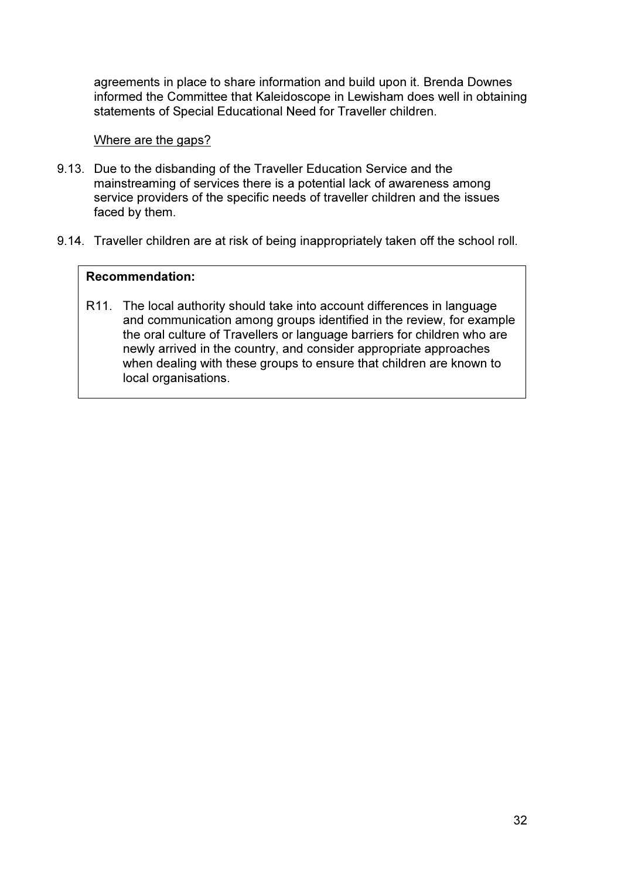agreements in place to share information and build upon it. Brenda Downes informed the Committee that Kaleidoscope in Lewisham does well in obtaining statements of Special Educational Need for Traveller children.

### Where are the gaps?

- 9.13. Due to the disbanding of the Traveller Education Service and the mainstreaming of services there is a potential lack of awareness among service providers of the specific needs of traveller children and the issues faced by them.
- 9.14. Traveller children are at risk of being inappropriately taken off the school roll.

#### Recommendation:

R11. The local authority should take into account differences in language and communication among groups identified in the review, for example the oral culture of Travellers or language barriers for children who are newly arrived in the country, and consider appropriate approaches when dealing with these groups to ensure that children are known to local organisations.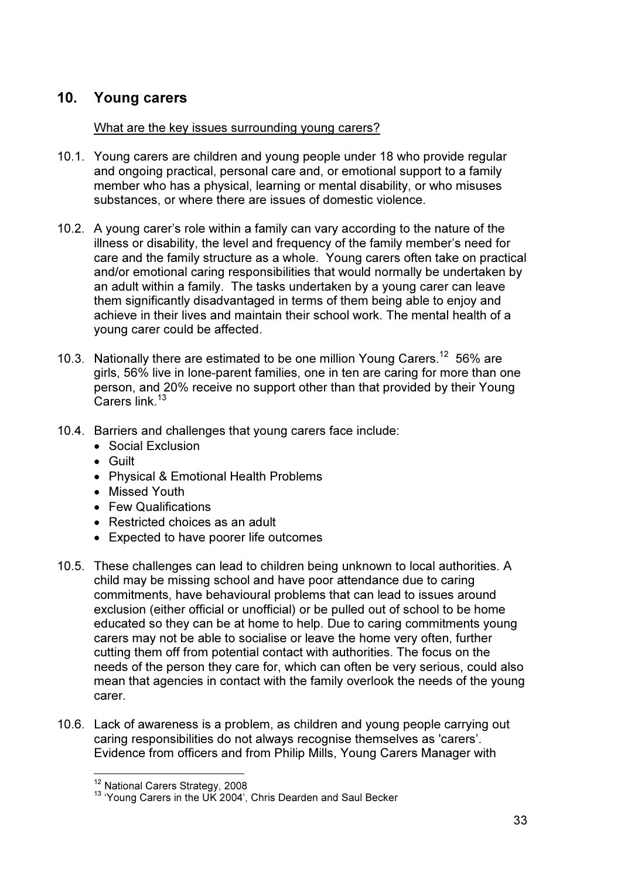## 10. Young carers

## What are the key issues surrounding young carers?

- 10.1. Young carers are children and young people under 18 who provide regular and ongoing practical, personal care and, or emotional support to a family member who has a physical, learning or mental disability, or who misuses substances, or where there are issues of domestic violence.
- 10.2. A young carer's role within a family can vary according to the nature of the illness or disability, the level and frequency of the family member's need for care and the family structure as a whole. Young carers often take on practical and/or emotional caring responsibilities that would normally be undertaken by an adult within a family. The tasks undertaken by a young carer can leave them significantly disadvantaged in terms of them being able to enjoy and achieve in their lives and maintain their school work. The mental health of a young carer could be affected.
- 10.3. Nationally there are estimated to be one million Young Carers.<sup>12</sup> 56% are girls, 56% live in lone-parent families, one in ten are caring for more than one person, and 20% receive no support other than that provided by their Young Carers link.<sup>13</sup>
- 10.4. Barriers and challenges that young carers face include:
	- Social Exclusion
	- Guilt
	- Physical & Emotional Health Problems
	- Missed Youth
	- Few Qualifications
	- Restricted choices as an adult
	- Expected to have poorer life outcomes
- 10.5. These challenges can lead to children being unknown to local authorities. A child may be missing school and have poor attendance due to caring commitments, have behavioural problems that can lead to issues around exclusion (either official or unofficial) or be pulled out of school to be home educated so they can be at home to help. Due to caring commitments young carers may not be able to socialise or leave the home very often, further cutting them off from potential contact with authorities. The focus on the needs of the person they care for, which can often be very serious, could also mean that agencies in contact with the family overlook the needs of the young carer.
- 10.6. Lack of awareness is a problem, as children and young people carrying out caring responsibilities do not always recognise themselves as 'carers'. Evidence from officers and from Philip Mills, Young Carers Manager with

<sup>&</sup>lt;sup>12</sup> National Carers Strategy, 2008

<sup>&</sup>lt;sup>13</sup> 'Young Carers in the UK 2004', Chris Dearden and Saul Becker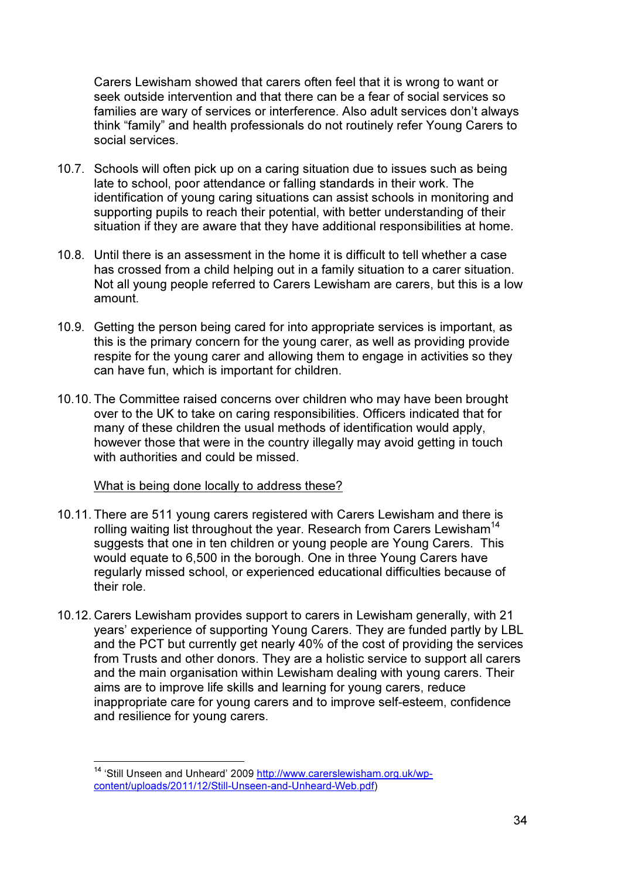Carers Lewisham showed that carers often feel that it is wrong to want or seek outside intervention and that there can be a fear of social services so families are wary of services or interference. Also adult services don't always think "family" and health professionals do not routinely refer Young Carers to social services.

- 10.7. Schools will often pick up on a caring situation due to issues such as being late to school, poor attendance or falling standards in their work. The identification of young caring situations can assist schools in monitoring and supporting pupils to reach their potential, with better understanding of their situation if they are aware that they have additional responsibilities at home.
- 10.8. Until there is an assessment in the home it is difficult to tell whether a case has crossed from a child helping out in a family situation to a carer situation. Not all young people referred to Carers Lewisham are carers, but this is a low amount.
- 10.9. Getting the person being cared for into appropriate services is important, as this is the primary concern for the young carer, as well as providing provide respite for the young carer and allowing them to engage in activities so they can have fun, which is important for children.
- 10.10. The Committee raised concerns over children who may have been brought over to the UK to take on caring responsibilities. Officers indicated that for many of these children the usual methods of identification would apply, however those that were in the country illegally may avoid getting in touch with authorities and could be missed.

## What is being done locally to address these?

- 10.11. There are 511 young carers registered with Carers Lewisham and there is rolling waiting list throughout the year. Research from Carers Lewisham<sup>14</sup> suggests that one in ten children or young people are Young Carers. This would equate to 6,500 in the borough. One in three Young Carers have regularly missed school, or experienced educational difficulties because of their role.
- 10.12. Carers Lewisham provides support to carers in Lewisham generally, with 21 years' experience of supporting Young Carers. They are funded partly by LBL and the PCT but currently get nearly 40% of the cost of providing the services from Trusts and other donors. They are a holistic service to support all carers and the main organisation within Lewisham dealing with young carers. Their aims are to improve life skills and learning for young carers, reduce inappropriate care for young carers and to improve self-esteem, confidence and resilience for young carers.

<sup>&</sup>lt;sup>14</sup> 'Still Unseen and Unheard' 2009 http://www.carerslewisham.org.uk/wpcontent/uploads/2011/12/Still-Unseen-and-Unheard-Web.pdf)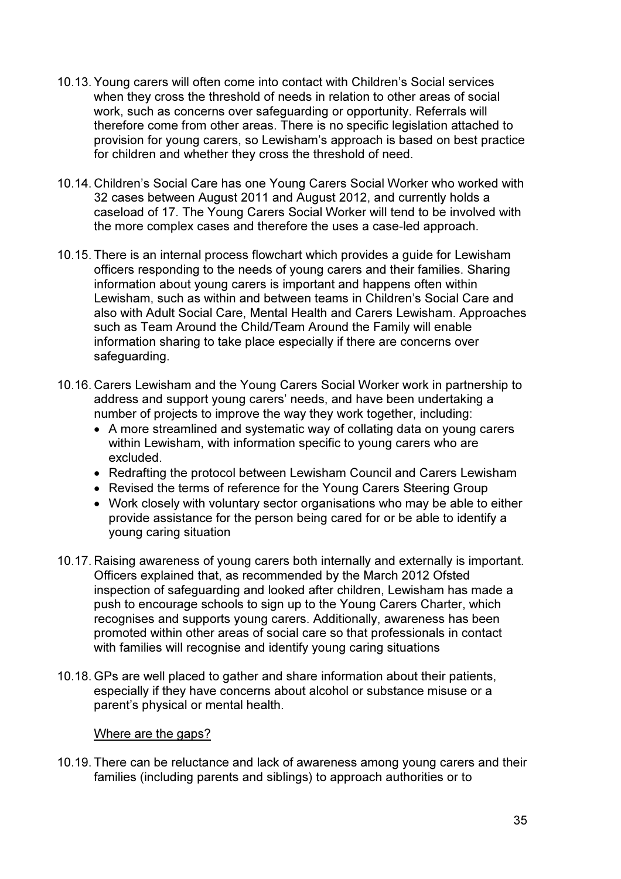- 10.13. Young carers will often come into contact with Children's Social services when they cross the threshold of needs in relation to other areas of social work, such as concerns over safeguarding or opportunity. Referrals will therefore come from other areas. There is no specific legislation attached to provision for young carers, so Lewisham's approach is based on best practice for children and whether they cross the threshold of need.
- 10.14. Children's Social Care has one Young Carers Social Worker who worked with 32 cases between August 2011 and August 2012, and currently holds a caseload of 17. The Young Carers Social Worker will tend to be involved with the more complex cases and therefore the uses a case-led approach.
- 10.15. There is an internal process flowchart which provides a guide for Lewisham officers responding to the needs of young carers and their families. Sharing information about young carers is important and happens often within Lewisham, such as within and between teams in Children's Social Care and also with Adult Social Care, Mental Health and Carers Lewisham. Approaches such as Team Around the Child/Team Around the Family will enable information sharing to take place especially if there are concerns over safeguarding.
- 10.16. Carers Lewisham and the Young Carers Social Worker work in partnership to address and support young carers' needs, and have been undertaking a number of projects to improve the way they work together, including:
	- A more streamlined and systematic way of collating data on young carers within Lewisham, with information specific to young carers who are excluded.
	- Redrafting the protocol between Lewisham Council and Carers Lewisham
	- Revised the terms of reference for the Young Carers Steering Group
	- Work closely with voluntary sector organisations who may be able to either provide assistance for the person being cared for or be able to identify a young caring situation
- 10.17. Raising awareness of young carers both internally and externally is important. Officers explained that, as recommended by the March 2012 Ofsted inspection of safeguarding and looked after children, Lewisham has made a push to encourage schools to sign up to the Young Carers Charter, which recognises and supports young carers. Additionally, awareness has been promoted within other areas of social care so that professionals in contact with families will recognise and identify young caring situations
- 10.18. GPs are well placed to gather and share information about their patients, especially if they have concerns about alcohol or substance misuse or a parent's physical or mental health.

#### Where are the gaps?

10.19. There can be reluctance and lack of awareness among young carers and their families (including parents and siblings) to approach authorities or to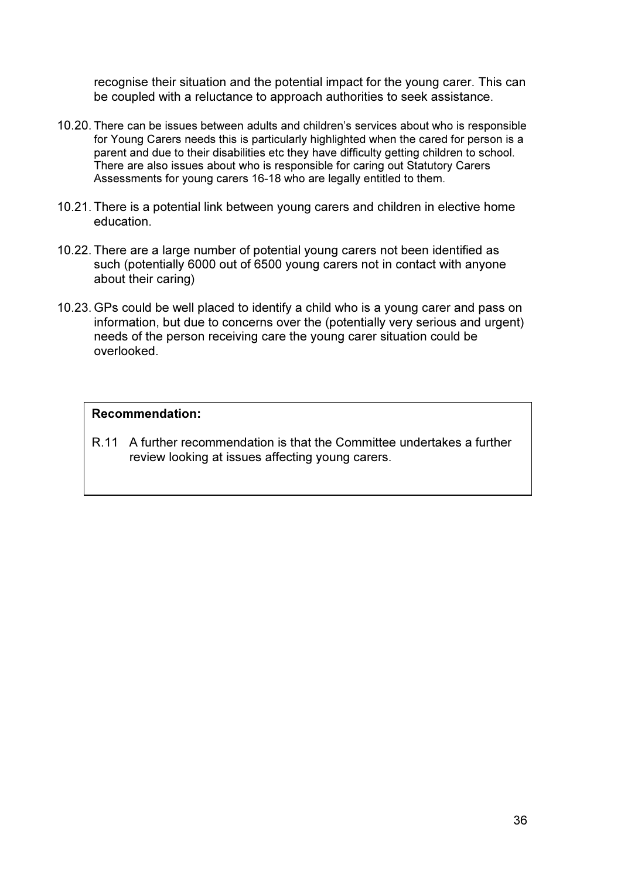recognise their situation and the potential impact for the young carer. This can be coupled with a reluctance to approach authorities to seek assistance.

- 10.20. There can be issues between adults and children's services about who is responsible for Young Carers needs this is particularly highlighted when the cared for person is a parent and due to their disabilities etc they have difficulty getting children to school. There are also issues about who is responsible for caring out Statutory Carers Assessments for young carers 16-18 who are legally entitled to them.
- 10.21. There is a potential link between young carers and children in elective home education.
- 10.22. There are a large number of potential young carers not been identified as such (potentially 6000 out of 6500 young carers not in contact with anyone about their caring)
- 10.23. GPs could be well placed to identify a child who is a young carer and pass on information, but due to concerns over the (potentially very serious and urgent) needs of the person receiving care the young carer situation could be overlooked.

#### Recommendation:

R.11 A further recommendation is that the Committee undertakes a further review looking at issues affecting young carers.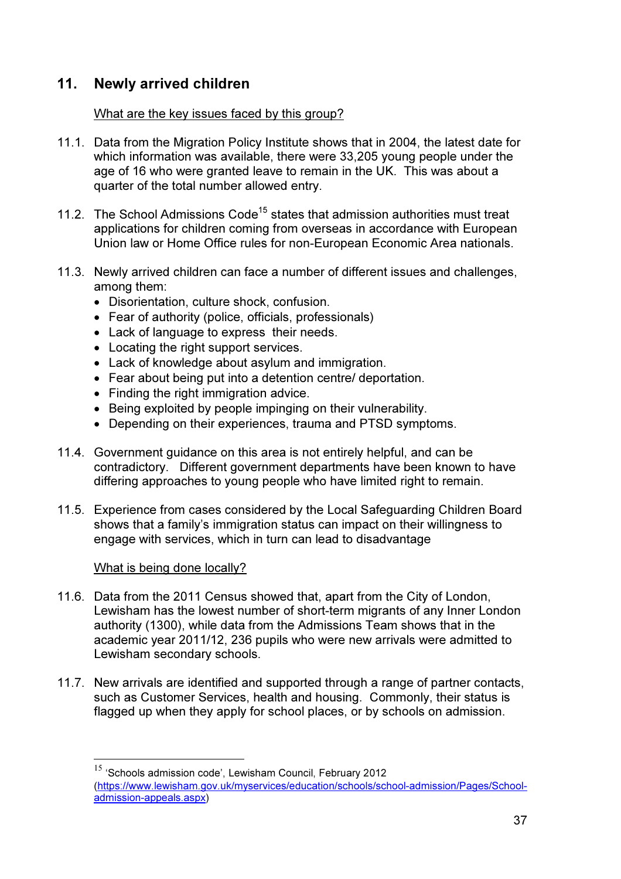## 11. Newly arrived children

## What are the key issues faced by this group?

- 11.1. Data from the Migration Policy Institute shows that in 2004, the latest date for which information was available, there were 33,205 young people under the age of 16 who were granted leave to remain in the UK. This was about a quarter of the total number allowed entry.
- 11.2. The School Admissions Code<sup>15</sup> states that admission authorities must treat applications for children coming from overseas in accordance with European Union law or Home Office rules for non-European Economic Area nationals.
- 11.3. Newly arrived children can face a number of different issues and challenges, among them:
	- Disorientation, culture shock, confusion.
	- Fear of authority (police, officials, professionals)
	- Lack of language to express their needs.
	- Locating the right support services.
	- Lack of knowledge about asylum and immigration.
	- Fear about being put into a detention centre/ deportation.
	- Finding the right immigration advice.
	- Being exploited by people impinging on their vulnerability.
	- Depending on their experiences, trauma and PTSD symptoms.
- 11.4. Government guidance on this area is not entirely helpful, and can be contradictory. Different government departments have been known to have differing approaches to young people who have limited right to remain.
- 11.5. Experience from cases considered by the Local Safeguarding Children Board shows that a family's immigration status can impact on their willingness to engage with services, which in turn can lead to disadvantage

## What is being done locally?

- 11.6. Data from the 2011 Census showed that, apart from the City of London, Lewisham has the lowest number of short-term migrants of any Inner London authority (1300), while data from the Admissions Team shows that in the academic year 2011/12, 236 pupils who were new arrivals were admitted to Lewisham secondary schools.
- 11.7. New arrivals are identified and supported through a range of partner contacts, such as Customer Services, health and housing. Commonly, their status is flagged up when they apply for school places, or by schools on admission.

<sup>&</sup>lt;sup>15</sup> 'Schools admission code', Lewisham Council, February 2012 (https://www.lewisham.gov.uk/myservices/education/schools/school-admission/Pages/Schooladmission-appeals.aspx)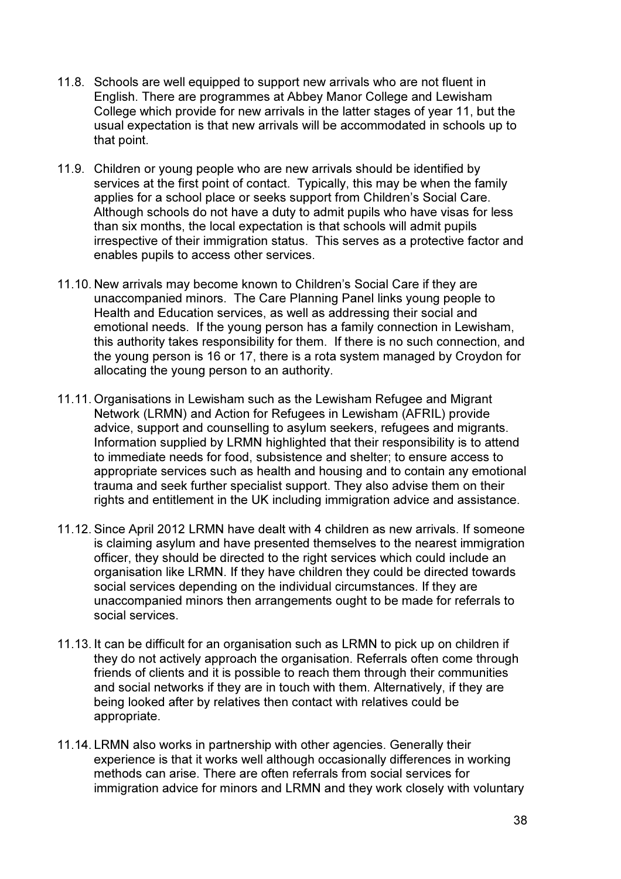- 11.8. Schools are well equipped to support new arrivals who are not fluent in English. There are programmes at Abbey Manor College and Lewisham College which provide for new arrivals in the latter stages of year 11, but the usual expectation is that new arrivals will be accommodated in schools up to that point.
- 11.9. Children or young people who are new arrivals should be identified by services at the first point of contact. Typically, this may be when the family applies for a school place or seeks support from Children's Social Care. Although schools do not have a duty to admit pupils who have visas for less than six months, the local expectation is that schools will admit pupils irrespective of their immigration status. This serves as a protective factor and enables pupils to access other services.
- 11.10. New arrivals may become known to Children's Social Care if they are unaccompanied minors. The Care Planning Panel links young people to Health and Education services, as well as addressing their social and emotional needs. If the young person has a family connection in Lewisham, this authority takes responsibility for them. If there is no such connection, and the young person is 16 or 17, there is a rota system managed by Croydon for allocating the young person to an authority.
- 11.11. Organisations in Lewisham such as the Lewisham Refugee and Migrant Network (LRMN) and Action for Refugees in Lewisham (AFRIL) provide advice, support and counselling to asylum seekers, refugees and migrants. Information supplied by LRMN highlighted that their responsibility is to attend to immediate needs for food, subsistence and shelter; to ensure access to appropriate services such as health and housing and to contain any emotional trauma and seek further specialist support. They also advise them on their rights and entitlement in the UK including immigration advice and assistance.
- 11.12. Since April 2012 LRMN have dealt with 4 children as new arrivals. If someone is claiming asylum and have presented themselves to the nearest immigration officer, they should be directed to the right services which could include an organisation like LRMN. If they have children they could be directed towards social services depending on the individual circumstances. If they are unaccompanied minors then arrangements ought to be made for referrals to social services.
- 11.13. It can be difficult for an organisation such as LRMN to pick up on children if they do not actively approach the organisation. Referrals often come through friends of clients and it is possible to reach them through their communities and social networks if they are in touch with them. Alternatively, if they are being looked after by relatives then contact with relatives could be appropriate.
- 11.14. LRMN also works in partnership with other agencies. Generally their experience is that it works well although occasionally differences in working methods can arise. There are often referrals from social services for immigration advice for minors and LRMN and they work closely with voluntary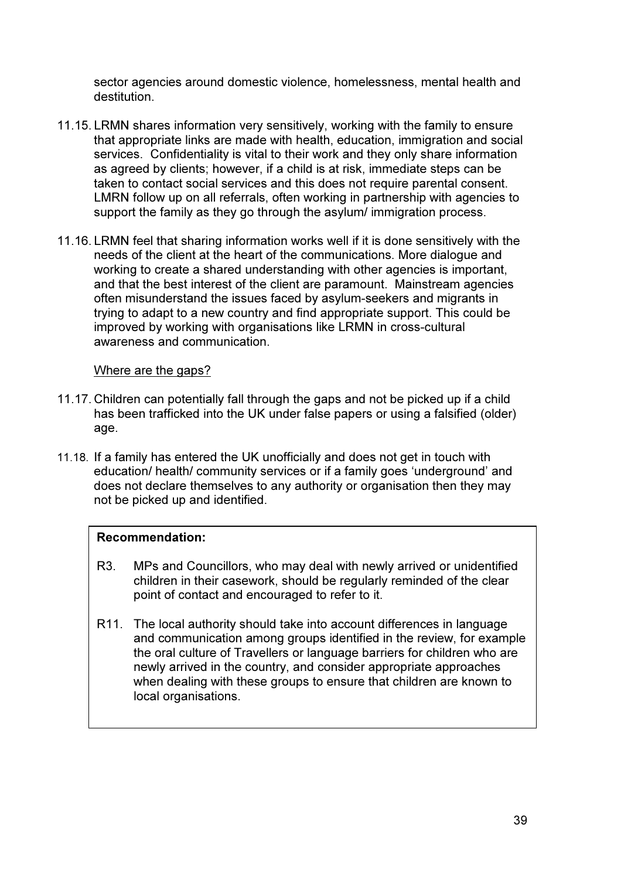sector agencies around domestic violence, homelessness, mental health and destitution.

- 11.15. LRMN shares information very sensitively, working with the family to ensure that appropriate links are made with health, education, immigration and social services. Confidentiality is vital to their work and they only share information as agreed by clients; however, if a child is at risk, immediate steps can be taken to contact social services and this does not require parental consent. LMRN follow up on all referrals, often working in partnership with agencies to support the family as they go through the asylum/ immigration process.
- 11.16. LRMN feel that sharing information works well if it is done sensitively with the needs of the client at the heart of the communications. More dialogue and working to create a shared understanding with other agencies is important, and that the best interest of the client are paramount. Mainstream agencies often misunderstand the issues faced by asylum-seekers and migrants in trying to adapt to a new country and find appropriate support. This could be improved by working with organisations like LRMN in cross-cultural awareness and communication.

#### Where are the gaps?

- 11.17. Children can potentially fall through the gaps and not be picked up if a child has been trafficked into the UK under false papers or using a falsified (older) age.
- 11.18. If a family has entered the UK unofficially and does not get in touch with education/ health/ community services or if a family goes 'underground' and does not declare themselves to any authority or organisation then they may not be picked up and identified.

## Recommendation:

- R3. MPs and Councillors, who may deal with newly arrived or unidentified children in their casework, should be regularly reminded of the clear point of contact and encouraged to refer to it.
- R11. The local authority should take into account differences in language and communication among groups identified in the review, for example the oral culture of Travellers or language barriers for children who are newly arrived in the country, and consider appropriate approaches when dealing with these groups to ensure that children are known to local organisations.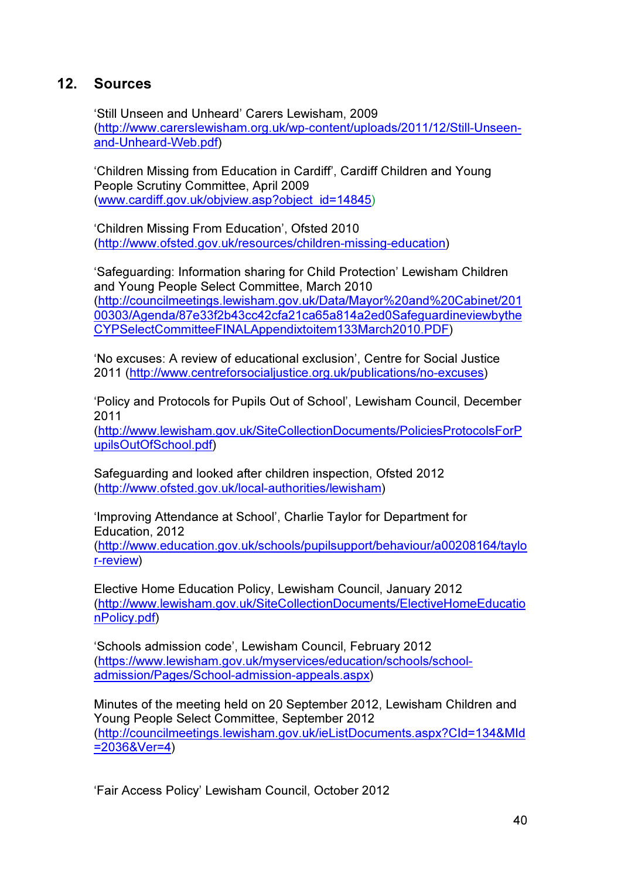## 12. Sources

'Still Unseen and Unheard' Carers Lewisham, 2009 (http://www.carerslewisham.org.uk/wp-content/uploads/2011/12/Still-Unseenand-Unheard-Web.pdf)

'Children Missing from Education in Cardiff', Cardiff Children and Young People Scrutiny Committee, April 2009 (www.cardiff.gov.uk/objview.asp?object\_id=14845)

'Children Missing From Education', Ofsted 2010 (http://www.ofsted.gov.uk/resources/children-missing-education)

'Safeguarding: Information sharing for Child Protection' Lewisham Children and Young People Select Committee, March 2010 (http://councilmeetings.lewisham.gov.uk/Data/Mayor%20and%20Cabinet/201 00303/Agenda/87e33f2b43cc42cfa21ca65a814a2ed0Safeguardineviewbythe CYPSelectCommitteeFINALAppendixtoitem133March2010.PDF)

'No excuses: A review of educational exclusion', Centre for Social Justice 2011 (http://www.centreforsocialjustice.org.uk/publications/no-excuses)

'Policy and Protocols for Pupils Out of School', Lewisham Council, December 2011

(http://www.lewisham.gov.uk/SiteCollectionDocuments/PoliciesProtocolsForP upilsOutOfSchool.pdf)

Safeguarding and looked after children inspection, Ofsted 2012 (http://www.ofsted.gov.uk/local-authorities/lewisham)

'Improving Attendance at School', Charlie Taylor for Department for Education, 2012

(http://www.education.gov.uk/schools/pupilsupport/behaviour/a00208164/taylo r-review)

Elective Home Education Policy, Lewisham Council, January 2012 (http://www.lewisham.gov.uk/SiteCollectionDocuments/ElectiveHomeEducatio nPolicy.pdf)

'Schools admission code', Lewisham Council, February 2012 (https://www.lewisham.gov.uk/myservices/education/schools/schooladmission/Pages/School-admission-appeals.aspx)

Minutes of the meeting held on 20 September 2012, Lewisham Children and Young People Select Committee, September 2012 (http://councilmeetings.lewisham.gov.uk/ieListDocuments.aspx?CId=134&MId =2036&Ver=4)

'Fair Access Policy' Lewisham Council, October 2012